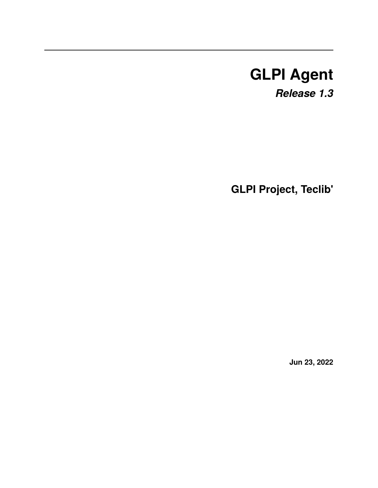# **GLPI Agent**

*Release 1.3*

**GLPI Project, Teclib'**

**Jun 23, 2022**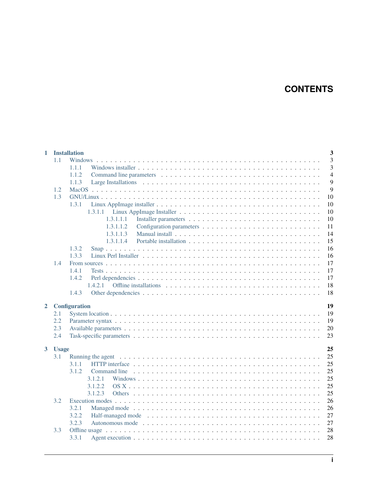# **CONTENTS**

| 3<br>1.1<br>Windows<br>3<br>1.1.1<br>$\overline{4}$<br>1.1.2<br>9<br>1.1.3<br>9<br>1.2<br>1.3<br>10<br>10<br>1.3.1<br>10<br>10<br>1,3,1,1,1<br>1.3.1.1.2<br>11<br>14<br>1.3.1.1.3<br>15<br>1,3,1,1,4<br>1.3.2<br>16<br>1.3.3<br>16<br>17<br>1.4<br>17<br>1.4.1<br>17<br>1.4.2<br>18<br>1.4.2.1<br>18<br>1.4.3<br>19<br>$\mathbf{2}$<br><b>Configuration</b><br>19<br>2.1<br>19<br>2.2<br>20<br>2.3<br>23<br>2.4<br>25<br>$\overline{\mathbf{3}}$<br><b>Usage</b><br>25<br>3.1<br>25<br>3.1.1<br>25<br>3.1.2<br>25<br>3.1.2.1<br>25<br>3.1.2.2<br>25<br>3.1.2.3<br>3.2<br>26<br>26<br>3.2.1<br>Managed mode responses in the server in the server is a server in the managed mode response in the server in the server in the server in the managed mode.<br>27<br>3.2.2<br>27<br>3.2.3<br>28<br>3.3 | 1 | $\overline{\mathbf{3}}$<br><b>Installation</b> |
|-----------------------------------------------------------------------------------------------------------------------------------------------------------------------------------------------------------------------------------------------------------------------------------------------------------------------------------------------------------------------------------------------------------------------------------------------------------------------------------------------------------------------------------------------------------------------------------------------------------------------------------------------------------------------------------------------------------------------------------------------------------------------------------------------------|---|------------------------------------------------|
|                                                                                                                                                                                                                                                                                                                                                                                                                                                                                                                                                                                                                                                                                                                                                                                                     |   |                                                |
|                                                                                                                                                                                                                                                                                                                                                                                                                                                                                                                                                                                                                                                                                                                                                                                                     |   |                                                |
|                                                                                                                                                                                                                                                                                                                                                                                                                                                                                                                                                                                                                                                                                                                                                                                                     |   |                                                |
|                                                                                                                                                                                                                                                                                                                                                                                                                                                                                                                                                                                                                                                                                                                                                                                                     |   |                                                |
|                                                                                                                                                                                                                                                                                                                                                                                                                                                                                                                                                                                                                                                                                                                                                                                                     |   |                                                |
|                                                                                                                                                                                                                                                                                                                                                                                                                                                                                                                                                                                                                                                                                                                                                                                                     |   |                                                |
|                                                                                                                                                                                                                                                                                                                                                                                                                                                                                                                                                                                                                                                                                                                                                                                                     |   |                                                |
|                                                                                                                                                                                                                                                                                                                                                                                                                                                                                                                                                                                                                                                                                                                                                                                                     |   |                                                |
|                                                                                                                                                                                                                                                                                                                                                                                                                                                                                                                                                                                                                                                                                                                                                                                                     |   |                                                |
|                                                                                                                                                                                                                                                                                                                                                                                                                                                                                                                                                                                                                                                                                                                                                                                                     |   |                                                |
|                                                                                                                                                                                                                                                                                                                                                                                                                                                                                                                                                                                                                                                                                                                                                                                                     |   |                                                |
|                                                                                                                                                                                                                                                                                                                                                                                                                                                                                                                                                                                                                                                                                                                                                                                                     |   |                                                |
|                                                                                                                                                                                                                                                                                                                                                                                                                                                                                                                                                                                                                                                                                                                                                                                                     |   |                                                |
|                                                                                                                                                                                                                                                                                                                                                                                                                                                                                                                                                                                                                                                                                                                                                                                                     |   |                                                |
|                                                                                                                                                                                                                                                                                                                                                                                                                                                                                                                                                                                                                                                                                                                                                                                                     |   |                                                |
|                                                                                                                                                                                                                                                                                                                                                                                                                                                                                                                                                                                                                                                                                                                                                                                                     |   |                                                |
|                                                                                                                                                                                                                                                                                                                                                                                                                                                                                                                                                                                                                                                                                                                                                                                                     |   |                                                |
|                                                                                                                                                                                                                                                                                                                                                                                                                                                                                                                                                                                                                                                                                                                                                                                                     |   |                                                |
|                                                                                                                                                                                                                                                                                                                                                                                                                                                                                                                                                                                                                                                                                                                                                                                                     |   |                                                |
|                                                                                                                                                                                                                                                                                                                                                                                                                                                                                                                                                                                                                                                                                                                                                                                                     |   |                                                |
|                                                                                                                                                                                                                                                                                                                                                                                                                                                                                                                                                                                                                                                                                                                                                                                                     |   |                                                |
|                                                                                                                                                                                                                                                                                                                                                                                                                                                                                                                                                                                                                                                                                                                                                                                                     |   |                                                |
|                                                                                                                                                                                                                                                                                                                                                                                                                                                                                                                                                                                                                                                                                                                                                                                                     |   |                                                |
|                                                                                                                                                                                                                                                                                                                                                                                                                                                                                                                                                                                                                                                                                                                                                                                                     |   |                                                |
|                                                                                                                                                                                                                                                                                                                                                                                                                                                                                                                                                                                                                                                                                                                                                                                                     |   |                                                |
|                                                                                                                                                                                                                                                                                                                                                                                                                                                                                                                                                                                                                                                                                                                                                                                                     |   |                                                |
|                                                                                                                                                                                                                                                                                                                                                                                                                                                                                                                                                                                                                                                                                                                                                                                                     |   |                                                |
|                                                                                                                                                                                                                                                                                                                                                                                                                                                                                                                                                                                                                                                                                                                                                                                                     |   |                                                |
|                                                                                                                                                                                                                                                                                                                                                                                                                                                                                                                                                                                                                                                                                                                                                                                                     |   |                                                |
|                                                                                                                                                                                                                                                                                                                                                                                                                                                                                                                                                                                                                                                                                                                                                                                                     |   |                                                |
|                                                                                                                                                                                                                                                                                                                                                                                                                                                                                                                                                                                                                                                                                                                                                                                                     |   |                                                |
|                                                                                                                                                                                                                                                                                                                                                                                                                                                                                                                                                                                                                                                                                                                                                                                                     |   |                                                |
|                                                                                                                                                                                                                                                                                                                                                                                                                                                                                                                                                                                                                                                                                                                                                                                                     |   |                                                |
|                                                                                                                                                                                                                                                                                                                                                                                                                                                                                                                                                                                                                                                                                                                                                                                                     |   |                                                |
|                                                                                                                                                                                                                                                                                                                                                                                                                                                                                                                                                                                                                                                                                                                                                                                                     |   |                                                |
|                                                                                                                                                                                                                                                                                                                                                                                                                                                                                                                                                                                                                                                                                                                                                                                                     |   |                                                |
|                                                                                                                                                                                                                                                                                                                                                                                                                                                                                                                                                                                                                                                                                                                                                                                                     |   | 28<br>3.3.1                                    |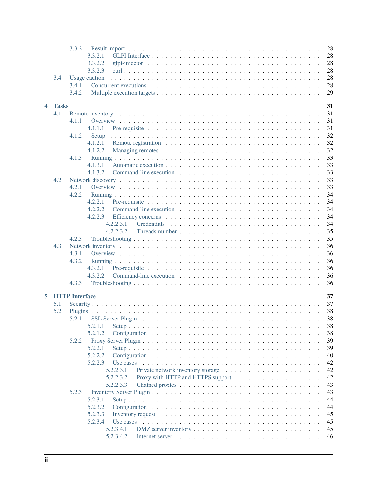|   |              | 3.3.2                                                                                                              | 28 |
|---|--------------|--------------------------------------------------------------------------------------------------------------------|----|
|   |              | 3.3.2.1                                                                                                            | 28 |
|   |              | 3.3.2.2                                                                                                            | 28 |
|   |              | 3.3.2.3                                                                                                            | 28 |
|   | 3.4          | Usage caution                                                                                                      | 28 |
|   |              | 3.4.1                                                                                                              | 28 |
|   |              | 3.4.2                                                                                                              | 29 |
|   |              |                                                                                                                    |    |
| 4 | <b>Tasks</b> |                                                                                                                    | 31 |
|   | 4.1          |                                                                                                                    | 31 |
|   |              | 4.1.1                                                                                                              | 31 |
|   |              | 4.1.1.1                                                                                                            | 31 |
|   |              | 4.1.2<br>Setup                                                                                                     | 32 |
|   |              | 4.1.2.1                                                                                                            | 32 |
|   |              | 4.1.2.2                                                                                                            | 32 |
|   |              | 4.1.3                                                                                                              | 33 |
|   |              | 4.1.3.1                                                                                                            | 33 |
|   |              | 4.1.3.2                                                                                                            | 33 |
|   | 4.2          |                                                                                                                    | 33 |
|   |              | 4.2.1                                                                                                              | 33 |
|   |              | 4.2.2                                                                                                              | 34 |
|   |              | 4.2.2.1                                                                                                            | 34 |
|   |              | 4.2.2.2                                                                                                            | 34 |
|   |              | 4.2.2.3                                                                                                            | 34 |
|   |              | 4.2.2.3.1                                                                                                          | 34 |
|   |              | 4.2.2.3.2                                                                                                          | 35 |
|   |              | 4.2.3                                                                                                              | 35 |
|   | 4.3          |                                                                                                                    | 36 |
|   |              | 4.3.1                                                                                                              | 36 |
|   |              | 4.3.2                                                                                                              | 36 |
|   |              | 4.3.2.1                                                                                                            | 36 |
|   |              | 4.3.2.2                                                                                                            | 36 |
|   |              | 4.3.3                                                                                                              | 36 |
|   |              |                                                                                                                    |    |
| 5 |              | <b>HTTP</b> Interface                                                                                              | 37 |
|   | 5.1          |                                                                                                                    | 37 |
|   | 5.2          |                                                                                                                    | 38 |
|   |              | 5.2.1                                                                                                              | 38 |
|   |              | 5.2.1.1                                                                                                            | 38 |
|   |              | 5.2.1.2                                                                                                            | 38 |
|   |              | 5.2.2                                                                                                              | 39 |
|   |              | 5.2.2.1                                                                                                            | 39 |
|   |              | 5.2.2.2                                                                                                            | 40 |
|   |              | 5.2.2.3<br>Use cases                                                                                               | 42 |
|   |              | 5.2.2.3.1                                                                                                          | 42 |
|   |              | 5.2.2.3.2                                                                                                          | 42 |
|   |              | 5.2.2.3.3                                                                                                          | 43 |
|   |              | 5.2.3                                                                                                              | 43 |
|   |              | 5.2.3.1                                                                                                            | 44 |
|   |              |                                                                                                                    |    |
|   |              | 5.2.3.2                                                                                                            | 44 |
|   |              | 5.2.3.3<br>Inventory request $\dots \dots \dots \dots \dots \dots \dots \dots \dots \dots \dots \dots \dots \dots$ | 45 |
|   |              | 5.2.3.4<br>Use cases                                                                                               | 45 |
|   |              | 5.2.3.4.1                                                                                                          | 45 |
|   |              | 5.2.3.4.2                                                                                                          | 46 |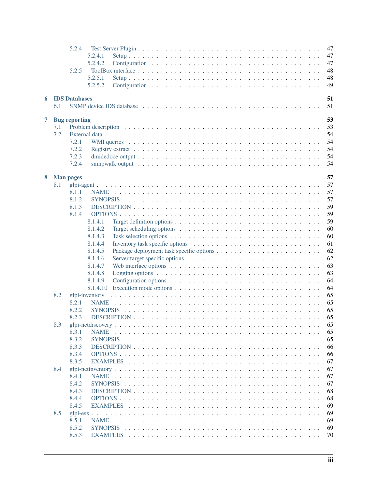|   |     | 5.2.4                |                                                                                                                  | 47       |
|---|-----|----------------------|------------------------------------------------------------------------------------------------------------------|----------|
|   |     |                      | 5.2.4.1                                                                                                          | 47       |
|   |     |                      | 5.2.4.2                                                                                                          | 47       |
|   |     | 5.2.5                |                                                                                                                  | 48       |
|   |     |                      | 5.2.5.1                                                                                                          | 48       |
|   |     |                      | 5.2.5.2                                                                                                          | 49       |
|   |     |                      |                                                                                                                  |          |
| 6 |     | <b>IDS</b> Databases |                                                                                                                  | 51       |
|   | 6.1 |                      |                                                                                                                  | 51       |
| 7 |     |                      |                                                                                                                  | 53       |
|   | 7.1 | <b>Bug</b> reporting |                                                                                                                  | 53       |
|   | 7.2 |                      |                                                                                                                  | 54       |
|   |     | 7.2.1                |                                                                                                                  | 54       |
|   |     | 7.2.2                |                                                                                                                  | 54       |
|   |     | 7.2.3                |                                                                                                                  | 54       |
|   |     | 7.2.4                |                                                                                                                  | 54       |
|   |     |                      |                                                                                                                  |          |
| 8 |     | <b>Man pages</b>     |                                                                                                                  | 57       |
|   | 8.1 |                      |                                                                                                                  | 57       |
|   |     | 8.1.1                |                                                                                                                  | 57       |
|   |     | 8.1.2                |                                                                                                                  | 57       |
|   |     | 8.1.3                |                                                                                                                  | 59       |
|   |     | 8.1.4                |                                                                                                                  | 59       |
|   |     |                      | 8.1.4.1                                                                                                          | 59       |
|   |     |                      | 8.1.4.2                                                                                                          | 60       |
|   |     |                      | 8.1.4.3                                                                                                          | 60       |
|   |     |                      | 8.1.4.4                                                                                                          | 61       |
|   |     |                      | 8.1.4.5                                                                                                          | 62       |
|   |     |                      | 8.1.4.6                                                                                                          | 62       |
|   |     |                      | 8.1.4.7<br>Web interface options $\dots \dots \dots \dots \dots \dots \dots \dots \dots \dots \dots \dots \dots$ | 63       |
|   |     |                      | 8.1.4.8                                                                                                          | 63       |
|   |     |                      | 8.1.4.9                                                                                                          | 64       |
|   |     |                      | 8.1.4.10                                                                                                         | 64       |
|   | 8.2 | glpi-inventory       |                                                                                                                  | 65       |
|   |     | 8.2.1                | <b>NAME</b>                                                                                                      | 65       |
|   |     | 8.2.2                |                                                                                                                  | 65       |
|   |     | 8.2.3                |                                                                                                                  | 65       |
|   | 8.3 | 8.3.1                | <b>NAME</b>                                                                                                      | 65<br>65 |
|   |     | 8.3.2                |                                                                                                                  | 65       |
|   |     | 8.3.3                |                                                                                                                  | 66       |
|   |     | 8.3.4                |                                                                                                                  | 66       |
|   |     | 8.3.5                |                                                                                                                  | 67       |
|   | 8.4 |                      |                                                                                                                  | 67       |
|   |     | 8.4.1                | <b>NAME</b>                                                                                                      | 67       |
|   |     | 8.4.2                |                                                                                                                  | 67       |
|   |     | 8.4.3                |                                                                                                                  | 68       |
|   |     | 8.4.4                |                                                                                                                  | 68       |
|   |     | 8.4.5                |                                                                                                                  | 69       |
|   | 8.5 |                      |                                                                                                                  | 69       |
|   |     | 8.5.1                | <b>NAME</b>                                                                                                      | 69       |
|   |     | 8.5.2                |                                                                                                                  | 69       |
|   |     | 8.5.3                |                                                                                                                  | 70       |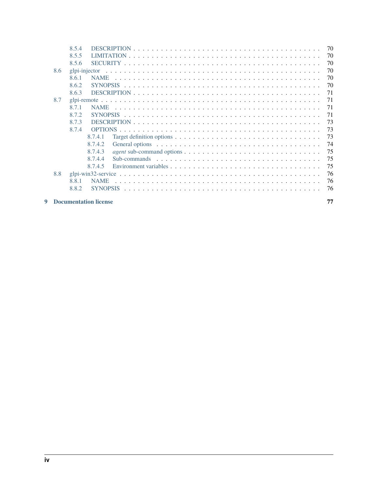|     | 8.5.4         |                                                                                                                      | 70 |
|-----|---------------|----------------------------------------------------------------------------------------------------------------------|----|
|     | 8.5.5         |                                                                                                                      | 70 |
|     | 8.5.6         |                                                                                                                      | 70 |
| 8.6 | glpi-injector |                                                                                                                      | 70 |
|     | 8.6.1         | <b>NAME</b>                                                                                                          | 70 |
|     | 8.6.2         |                                                                                                                      | 70 |
|     | 8.6.3         |                                                                                                                      | 71 |
| 8.7 |               |                                                                                                                      | 71 |
|     | 8.7.1         | <b>NAME</b>                                                                                                          | 71 |
|     | 8.7.2         |                                                                                                                      | 71 |
|     | 8.7.3         |                                                                                                                      | 73 |
|     | 8.7.4         |                                                                                                                      | 73 |
|     |               | 8.7.4.1<br>Target definition options $\dots \dots \dots \dots \dots \dots \dots \dots \dots \dots \dots \dots \dots$ | 73 |
|     |               | 8.7.4.2                                                                                                              | 74 |
|     |               | 8.7.4.3                                                                                                              | 75 |
|     |               | 8.7.4.4                                                                                                              | 75 |
|     |               | 8.7.4.5                                                                                                              | 75 |
| 8.8 |               |                                                                                                                      | 76 |
|     | 8.8.1         | <b>NAME</b>                                                                                                          | 76 |
|     | 8.8.2         | <b>SYNOPSIS</b>                                                                                                      | 76 |
|     |               |                                                                                                                      |    |

# Documentation license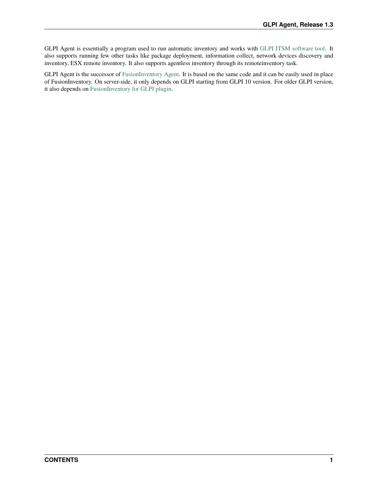GLPI Agent is essentially a program used to run automatic inventory and works with [GLPI ITSM software tool.](https://glpi-project.org/) It also supports running few other tasks like package deployment, information collect, network devices discovery and inventory, ESX remote inventory. It also supports agentless inventory through its remoteinventory task.

GLPI Agent is the successor of [FusionInventory Agent.](https://github.com/fusioninventory/fusioninventory-agent) It is based on the same code and it can be easily used in place of FusionInventory. On server-side, it only depends on GLPI starting from GLPI 10 version. For older GLPI version, it also depends on [FusionInventory for GLPI plugin.](https://github.com/fusioninventory/fusioninventory-for-glpi)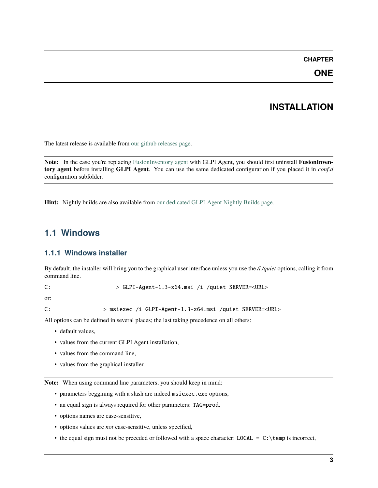### **CHAPTER**

**ONE**

# **INSTALLATION**

<span id="page-8-0"></span>The latest release is available from [our github releases page.](https://github.com/glpi-project/glpi-agent/releases)

Note: In the case you're replacing [FusionInventory agent](https://fusioninventory.org/) with GLPI Agent, you should first uninstall **FusionInventory agent** before installing **GLPI Agent**. You can use the same dedicated configuration if you placed it in *conf.d* configuration subfolder.

**Hint:** Nightly builds are also available from [our dedicated GLPI-Agent Nightly Builds page.](https://nightly.glpi-project.org/glpi-agent)

# <span id="page-8-1"></span>**1.1 Windows**

# <span id="page-8-2"></span>**1.1.1 Windows installer**

By default, the installer will bring you to the graphical user interface unless you use the */i /quiet* options, calling it from command line.

C: > GLPI-Agent-1.3-x64.msi /i /quiet SERVER=<URL>

or:

C: > msiexec /i GLPI-Agent-1.3-x64.msi /quiet SERVER=<URL>

All options can be defined in several places; the last taking precedence on all others:

- default values,
- values from the current GLPI Agent installation,
- values from the command line,
- values from the graphical installer.

**Note:** When using command line parameters, you should keep in mind:

- parameters beggining with a slash are indeed msiexec.exe options,
- an equal sign is always required for other parameters: TAG=prod,
- options names are case-sensitive,
- options values are *not* case-sensitive, unless specified,
- the equal sign must not be preceded or followed with a space character: LOCAL =  $C:\temp$  is incorrect,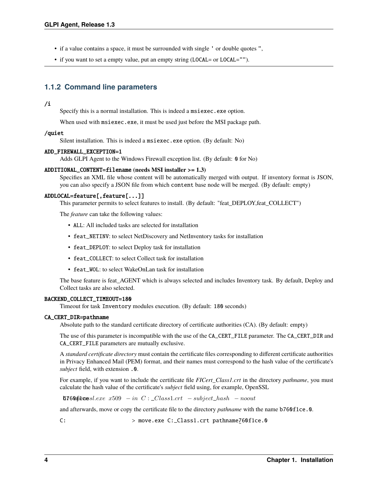- if a value contains a space, it must be surrounded with single ' or double quotes ",
- if you want to set a empty value, put an empty string (LOCAL= or LOCAL="").

# <span id="page-9-0"></span>**1.1.2 Command line parameters**

#### /i

Specify this is a normal installation. This is indeed a msiexec.exe option.

When used with msiexec.exe, it must be used just before the MSI package path.

#### /quiet

Silent installation. This is indeed a msiexec.exe option. (By default: No)

#### ADD\_FIREWALL\_EXCEPTION=1

Adds GLPI Agent to the Windows Firewall exception list. (By default: 0 for No)

#### ADDITIONAL\_CONTENT=filename **(needs MSI installer >= 1.3)**

Specifies an XML file whose content will be automatically merged with output. If inventory format is JSON, you can also specify a JSON file from which content base node will be merged. (By default: empty)

#### ADDLOCAL=feature[,feature[...]]

This parameter permits to select features to install. (By default: "feat\_DEPLOY,feat\_COLLECT")

The *feature* can take the following values:

- ALL: All included tasks are selected for installation
- feat\_NETINV: to select NetDiscovery and NetInventory tasks for installation
- feat\_DEPLOY: to select Deploy task for installation
- feat\_COLLECT: to select Collect task for installation
- feat\_WOL: to select WakeOnLan task for installation

The base feature is feat\_AGENT which is always selected and includes Inventory task. By default, Deploy and Collect tasks are also selected.

#### BACKEND\_COLLECT\_TIMEOUT=180

Timeout for task Inventory modules execution. (By default: 180 seconds)

#### CA\_CERT\_DIR=pathname

Absolute path to the standard certificate directory of certificate authorities (CA). (By default: empty)

The use of this parameter is incompatible with the use of the CA\_CERT\_FILE parameter. The CA\_CERT\_DIR and CA\_CERT\_FILE parameters are mutually exclusive.

A *standard certificate directory* must contain the certificate files corresponding to different certificate authorities in Privacy Enhanced Mail (PEM) format, and their names must correspond to the hash value of the certificate's *subject* field, with extension .0.

For example, if you want to include the certificate file *FICert\_Class1.crt* in the directory *pathname*, you must calculate the hash value of the certificate's *subject* field using, for example, OpenSSL

 $6760$ ptossl.exe  $x509 - in C:$   $Class1. crt - subject\_hash - noout$ 

and afterwards, move or copy the certificate file to the directory *pathname* with the name b760f1ce.0.

C:  $> \text{move}.\text{exe C:\_Class1.crt pathname\_500f1ce.0}$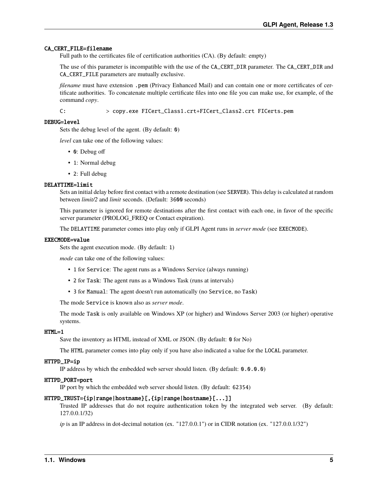#### CA\_CERT\_FILE=filename

Full path to the certificates file of certification authorities (CA). (By default: empty)

The use of this parameter is incompatible with the use of the CA\_CERT\_DIR parameter. The CA\_CERT\_DIR and CA\_CERT\_FILE parameters are mutually exclusive.

*filename* must have extension .pem (Privacy Enhanced Mail) and can contain one or more certificates of certificate authorities. To concatenate multiple certificate files into one file you can make use, for example, of the command *copy*.

C: > copy.exe FICert\_Class1.crt+FICert\_Class2.crt FICerts.pem

#### DEBUG=level

Sets the debug level of the agent. (By default: 0)

*level* can take one of the following values:

- 0: Debug off
- 1: Normal debug
- 2: Full debug

#### DELAYTIME=limit

Sets an initial delay before first contact with a remote destination (see SERVER). This delay is calculated at random between *limit/2* and *limit* seconds. (Default: 3600 seconds)

This parameter is ignored for remote destinations after the first contact with each one, in favor of the specific server parameter (PROLOG\_FREQ or Contact expiration).

The DELAYTIME parameter comes into play only if GLPI Agent runs in *server mode* (see EXECMODE).

#### EXECMODE=value

Sets the agent execution mode. (By default: 1)

*mode* can take one of the following values:

- 1 for Service: The agent runs as a Windows Service (always running)
- 2 for Task: The agent runs as a Windows Task (runs at intervals)
- 3 for Manual: The agent doesn't run automatically (no Service, no Task)

The mode Service is known also as *server mode*.

The mode Task is only available on Windows XP (or higher) and Windows Server 2003 (or higher) operative systems.

#### HTML=1

Save the inventory as HTML instead of XML or JSON. (By default: 0 for No)

The HTML parameter comes into play only if you have also indicated a value for the LOCAL parameter.

#### HTTPD\_IP=ip

IP address by which the embedded web server should listen. (By default: 0.0.0.0)

#### HTTPD\_PORT=port

IP port by which the embedded web server should listen. (By default: 62354)

#### HTTPD\_TRUST={ip|range|hostname}[,{ip|range|hostname}[...]]

Trusted IP addresses that do not require authentication token by the integrated web server. (By default: 127.0.0.1/32)

*ip* is an IP address in dot-decimal notation (ex. "127.0.0.1") or in CIDR notation (ex. "127.0.0.1/32")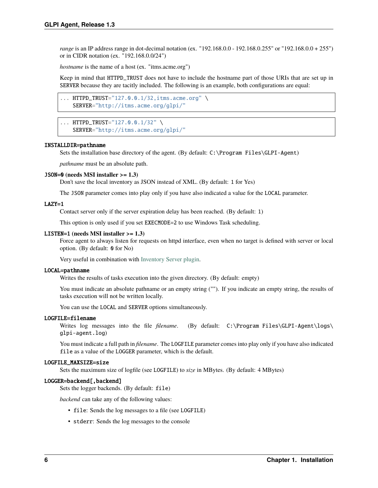*range* is an IP address range in dot-decimal notation (ex. "192.168.0.0 - 192.168.0.255" or "192.168.0.0 + 255") or in CIDR notation (ex. "192.168.0.0/24")

*hostname* is the name of a host (ex. "itms.acme.org")

Keep in mind that HTTPD\_TRUST does not have to include the hostname part of those URIs that are set up in SERVER because they are tacitly included. The following is an example, both configurations are equal:

```
... HTTPD_TRUST="127.0.0.1/32,itms.acme.org" \
   SERVER="http://itms.acme.org/glpi/"
```

```
... HTTPD_TRUST="127.0.0.1/32" \
   SERVER="http://itms.acme.org/glpi/"
```
#### INSTALLDIR=pathname

Sets the installation base directory of the agent. (By default: C:\Program Files\GLPI-Agent)

*pathname* must be an absolute path.

#### JSON=0 **(needs MSI installer >= 1.3)**

Don't save the local inventory as JSON instead of XML. (By default: 1 for Yes)

The JSON parameter comes into play only if you have also indicated a value for the LOCAL parameter.

#### LAZY=1

Contact server only if the server expiration delay has been reached. (By default: 1)

This option is only used if you set EXECMODE=2 to use Windows Task scheduling.

#### LISTEN=1 **(needs MSI installer >= 1.3)**

Force agent to always listen for requests on httpd interface, even when no target is defined with server or local option. (By default: 0 for No)

Very useful in combination with [Inventory Server plugin.](/plugins/inventory-server-plugin.html)

#### LOCAL=pathname

Writes the results of tasks execution into the given directory. (By default: empty)

You must indicate an absolute pathname or an empty string (""). If you indicate an empty string, the results of tasks execution will not be written locally.

You can use the LOCAL and SERVER options simultaneously.

#### LOGFILE=filename

Writes log messages into the file *filename*. (By default: C:\Program Files\GLPI-Agent\logs\ glpi-agent.log)

You must indicate a full path in *filename*. The LOGFILE parameter comes into play only if you have also indicated file as a value of the LOGGER parameter, which is the default.

#### LOGFILE\_MAXSIZE=size

Sets the maximum size of logfile (see LOGFILE) to *size* in MBytes. (By default: 4 MBytes)

#### LOGGER=backend[,backend]

Sets the logger backends. (By default: file)

*backend* can take any of the following values:

- file: Sends the log messages to a file (see LOGFILE)
- stderr: Sends the log messages to the console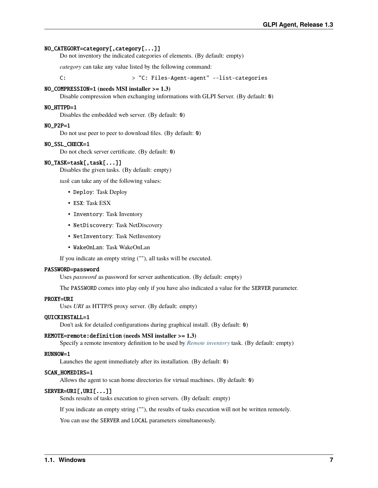#### NO\_CATEGORY=category[,category[...]]

Do not inventory the indicated categories of elements. (By default: empty)

*category* can take any value listed by the following command:

C:  $> "C: Files-Agent-agent" -- list-categories$ 

#### NO\_COMPRESSION=1 **(needs MSI installer >= 1.3)**

Disable compression when exchanging informations with GLPI Server. (By default: 0)

#### NO\_HTTPD=1

Disables the embedded web server. (By default: 0)

#### NO\_P2P=1

Do not use peer to peer to download files. (By default: 0)

#### NO\_SSL\_CHECK=1

Do not check server certificate. (By default: 0)

#### NO\_TASK=task[,task[...]]

Disables the given tasks. (By default: empty)

*task* can take any of the following values:

- Deploy: Task Deploy
- ESX: Task ESX
- Inventory: Task Inventory
- NetDiscovery: Task NetDiscovery
- NetInventory: Task NetInventory
- WakeOnLan: Task WakeOnLan

If you indicate an empty string (""), all tasks will be executed.

#### PASSWORD=password

Uses *password* as password for server authentication. (By default: empty)

The PASSWORD comes into play only if you have also indicated a value for the SERVER parameter.

#### PROXY=URI

Uses *URI* as HTTP/S proxy server. (By default: empty)

#### QUICKINSTALL=1

Don't ask for detailed configurations during graphical install. (By default: 0)

#### REMOTE=remote:definition **(needs MSI installer >= 1.3)**

Specify a remote inventory definition to be used by *[Remote inventory](#page-36-1)* task. (By default: empty)

#### RUNNOW=1

Launches the agent immediately after its installation. (By default: 0)

#### SCAN\_HOMEDIRS=1

Allows the agent to scan home directories for virtual machines. (By default: 0)

#### SERVER=URI[,URI[...]]

Sends results of tasks execution to given servers. (By default: empty)

If you indicate an empty string (""), the results of tasks execution will not be written remotely.

You can use the SERVER and LOCAL parameters simultaneously.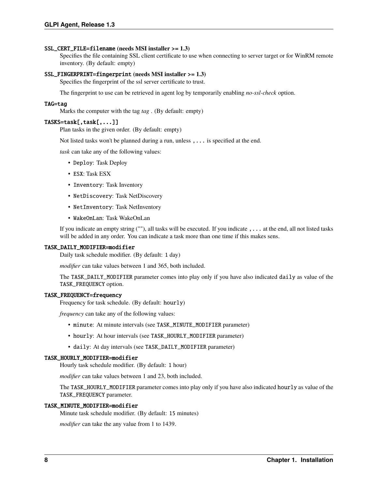#### SSL\_CERT\_FILE=filename **(needs MSI installer >= 1.3)**

Specifies the file containing SSL client certificate to use when connecting to server target or for WinRM remote inventory. (By default: empty)

#### SSL\_FINGERPRINT=fingerprint **(needs MSI installer >= 1.3)**

Specifies the fingerprint of the ssl server certificate to trust.

The fingerprint to use can be retrieved in agent log by temporarily enabling *no-ssl-check* option.

#### TAG=tag

Marks the computer with the tag *tag* . (By default: empty)

#### TASKS=task[,task[,...]]

Plan tasks in the given order. (By default: empty)

Not listed tasks won't be planned during a run, unless ,... is specified at the end.

*task* can take any of the following values:

- Deploy: Task Deploy
- ESX: Task ESX
- Inventory: Task Inventory
- NetDiscovery: Task NetDiscovery
- NetInventory: Task NetInventory
- WakeOnLan: Task WakeOnLan

If you indicate an empty string (""), all tasks will be executed. If you indicate ,... at the end, all not listed tasks will be added in any order. You can indicate a task more than one time if this makes sens.

#### TASK\_DAILY\_MODIFIER=modifier

Daily task schedule modifier. (By default: 1 day)

*modifier* can take values between 1 and 365, both included.

The TASK\_DAILY\_MODIFIER parameter comes into play only if you have also indicated daily as value of the TASK\_FREQUENCY option.

#### TASK\_FREQUENCY=frequency

Frequency for task schedule. (By default: hourly)

*frequency* can take any of the following values:

- minute: At minute intervals (see TASK\_MINUTE\_MODIFIER parameter)
- hourly: At hour intervals (see TASK\_HOURLY\_MODIFIER parameter)
- daily: At day intervals (see TASK\_DAILY\_MODIFIER parameter)

#### TASK\_HOURLY\_MODIFIER=modifier

Hourly task schedule modifier. (By default: 1 hour)

*modifier* can take values between 1 and 23, both included.

The TASK\_HOURLY\_MODIFIER parameter comes into play only if you have also indicated hourly as value of the TASK\_FREQUENCY parameter.

#### TASK\_MINUTE\_MODIFIER=modifier

Minute task schedule modifier. (By default: 15 minutes)

*modifier* can take the any value from 1 to 1439.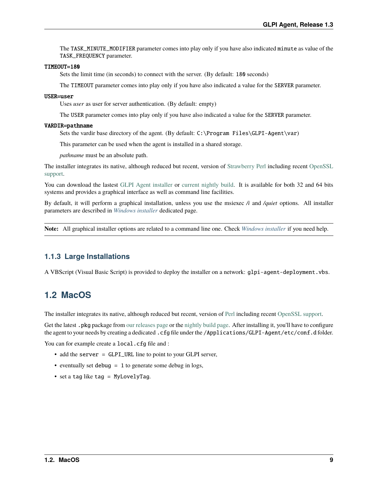The TASK\_MINUTE\_MODIFIER parameter comes into play only if you have also indicated minute as value of the TASK\_FREQUENCY parameter.

#### TIMEOUT=180

Sets the limit time (in seconds) to connect with the server. (By default: 180 seconds)

The TIMEOUT parameter comes into play only if you have also indicated a value for the SERVER parameter.

#### USER=user

Uses *user* as user for server authentication. (By default: empty)

The USER parameter comes into play only if you have also indicated a value for the SERVER parameter.

#### VARDIR=pathname

Sets the vardir base directory of the agent. (By default: C:\Program Files\GLPI-Agent\var)

This parameter can be used when the agent is installed in a shared storage.

*pathname* must be an absolute path.

The installer integrates its native, although reduced but recent, version of [Strawberry Perl](https://strawberryperl.com/) including recent [OpenSSL](https://www.openssl.org/) [support.](https://www.openssl.org/)

You can download the lastest [GLPI Agent installer](https://github.com/glpi-project/glpi-agent/releases) or [current nightly build.](https://nightly.glpi-project.org/glpi-agent) It is available for both 32 and 64 bits systems and provides a graphical interface as well as command line facilities.

By default, it will perform a graphical installation, unless you use the msiexec */i* and */quiet* options. All installer parameters are described in *[Windows installer](#page-8-2)* dedicated page.

**Note:** All graphical installer options are related to a command line one. Check *[Windows installer](#page-8-2)* if you need help.

### <span id="page-14-0"></span>**1.1.3 Large Installations**

A VBScript (Visual Basic Script) is provided to deploy the installer on a network: glpi-agent-deployment.vbs.

# <span id="page-14-1"></span>**1.2 MacOS**

The installer integrates its native, although reduced but recent, version of [Perl](https://www.perl.org/) including recent [OpenSSL support.](https://www.openssl.org/)

Get the latest .pkg package from [our releases page](https://github.com/glpi-project/glpi-agent/releases) or the [nightly build page.](https://nightly.glpi-project.org/glpi-agent) After installing it, you'll have to configure the agent to your needs by creating a dedicated .cfg file under the /Applications/GLPI-Agent/etc/conf.d folder.

You can for example create a local.cfg file and :

- add the server = GLPI\_URL line to point to your GLPI server,
- eventually set debug  $= 1$  to generate some debug in logs,
- set a tag like tag = MyLovelyTag.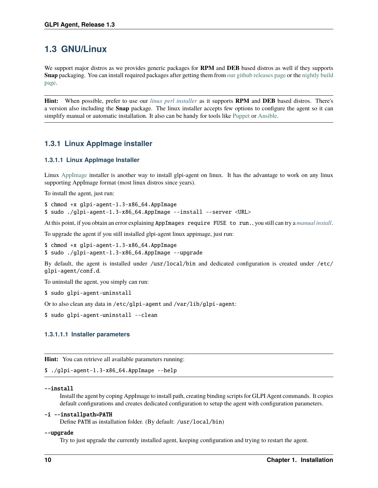# <span id="page-15-0"></span>**1.3 GNU/Linux**

We support major distros as we provides generic packages for **RPM** and **DEB** based distros as well if they supports **Snap** packaging. You can install required packages after getting them from [our github releases page](https://github.com/glpi-project/glpi-agent/releases) or the [nightly build](https://nightly.glpi-project.org/glpi-agent) [page.](https://nightly.glpi-project.org/glpi-agent)

**Hint:** When possible, prefer to use our *[linux perl installer](#page-21-1)* as it supports **RPM** and **DEB** based distros. There's a version also including the **Snap** package. The linux installer accepts few options to configure the agent so it can simplify manual or automatic installation. It also can be handy for tools like [Puppet](https://puppet.com/open-source/#osp) or [Ansible.](https://www.ansible.com/community)

# <span id="page-15-1"></span>**1.3.1 Linux AppImage installer**

### <span id="page-15-2"></span>**1.3.1.1 Linux AppImage Installer**

Linux [AppImage](https://appimage.org/) installer is another way to install glpi-agent on linux. It has the advantage to work on any linux supporting AppImage format (most linux distros since years).

To install the agent, just run:

 $$$  chmod +x glpi-agent-1.3-x86\_64.AppImage \$ sudo ./glpi-agent-1.3-x86\_64.AppImage --install --server <URL>

At this point, if you obtain an error explaining AppImages require FUSE to run., you still can try a *[manual install](#page-19-0)*.

To upgrade the agent if you still installed glpi-agent linux appimage, just run:

\$ chmod +x glpi-agent-1.3-x86\_64.AppImage \$ sudo ./glpi-agent-1.3-x86\_64.AppImage --upgrade

By default, the agent is installed under /usr/local/bin and dedicated configuration is created under /etc/ glpi-agent/conf.d.

To uninstall the agent, you simply can run:

\$ sudo glpi-agent-uninstall

Or to also clean any data in /etc/glpi-agent and /var/lib/glpi-agent:

\$ sudo glpi-agent-uninstall --clean

#### <span id="page-15-3"></span>**1.3.1.1.1 Installer parameters**

**Hint:** You can retrieve all available parameters running:

\$ ./glpi-agent-1.3-x86\_64.AppImage --help

#### --install

Install the agent by coping AppImage to install path, creating binding scripts for GLPI Agent commands. It copies default configurations and creates dedicated configuration to setup the agent with configuration parameters.

#### -i --installpath=PATH

Define PATH as installation folder. (By default: /usr/local/bin)

#### --upgrade

Try to just upgrade the currently installed agent, keeping configuration and trying to restart the agent.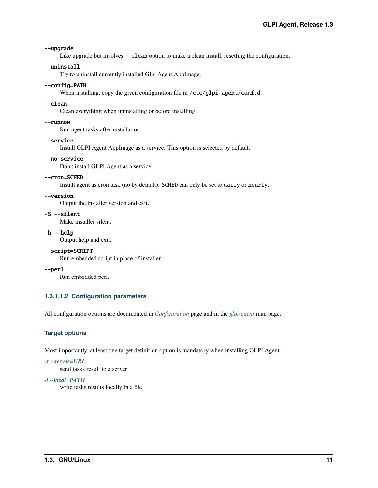#### --upgrade

Like upgrade but involves --clean option to make a clean install, resetting the configuration.

#### --uninstall

Try to uninstall currently installed Glpi Agent AppImage.

#### --config=PATH

When installing, copy the given configuration file in /etc/glpi-agent/conf.d

#### --clean

Clean everything when uninstalling or before installing.

#### --runnow

--service

Run agent tasks after installation.

# Install GLPI Agent AppImage as a service. This option is selected by default.

--no-service

Don't install GLPI Agent as a service.

#### --cron=SCHED

Install agent as cron task (no by default). SCHED can only be set to daily or hourly.

#### --version

Output the installer version and exit.

-S --silent

Make installer silent.

-h --help

Output help and exit.

### --script=SCRIPT

Run embedded script in place of installer.

#### --perl

Run embedded perl.

#### <span id="page-16-0"></span>**1.3.1.1.2 Configuration parameters**

All configuration options are documented in *[Configuration](#page-24-0)* page and in the *[glpi-agent](#page-62-1)* man page.

### **Target options**

Most importantly, at least one target definition option is mandatory when installing GLPI Agent.

#### *[-s --server=URI](#page-25-1)*

send tasks result to a server

#### *[-l --local=PATH](#page-25-2)*

write tasks results locally in a file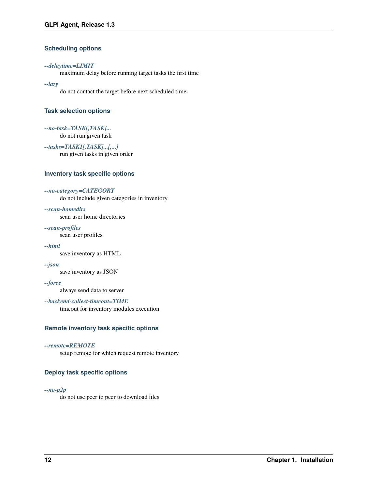### **Scheduling options**

#### *[--delaytime=LIMIT](#page-26-0)*

maximum delay before running target tasks the first time

#### *[--lazy](#page-26-1)*

do not contact the target before next scheduled time

### **Task selection options**

*[--no-task=TASK\[,TASK\]...](#page-26-2)*

do not run given task

#### *[--tasks=TASK1\[,TASK\]...\[,...\]](#page-26-3)*

run given tasks in given order

### **Inventory task specific options**

#### *[--no-category=CATEGORY](#page-28-1)*

do not include given categories in inventory

#### *[--scan-homedirs](#page-28-2)*

scan user home directories

# *[--scan-profiles](#page-29-0)*

scan user profiles

#### *[--html](#page-29-1)*

save inventory as HTML

#### *[--json](#page-29-2)*

save inventory as JSON

#### *[--force](#page-29-3)*

always send data to server

### *[--backend-collect-timeout=TIME](#page-29-4)*

timeout for inventory modules execution

#### **Remote inventory task specific options**

#### *[--remote=REMOTE](#page-29-5)*

setup remote for which request remote inventory

### **Deploy task specific options**

#### *[--no-p2p](#page-29-6)*

do not use peer to peer to download files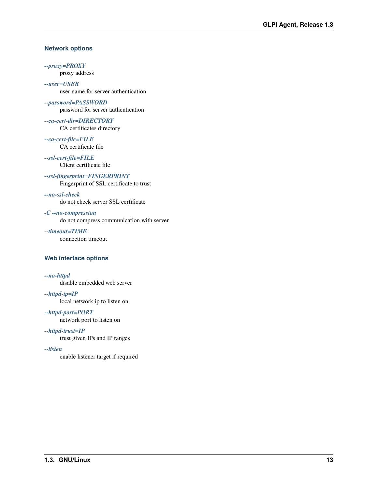#### **Network options**

*[--proxy=PROXY](#page-26-4)*

proxy address

*[--user=USER](#page-26-5)* user name for server authentication

*[--password=PASSWORD](#page-26-6)* password for server authentication

*[--ca-cert-dir=DIRECTORY](#page-26-7)* CA certificates directory

*[--ca-cert-file=FILE](#page-27-0)* CA certificate file

*[--ssl-cert-file=FILE](#page-27-1)* Client certificate file

*[--ssl-fingerprint=FINGERPRINT](#page-27-2)* Fingerprint of SSL certificate to trust

*[--no-ssl-check](#page-27-3)*

do not check server SSL certificate

*[-C --no-compression](#page-28-3)*

do not compress communication with server

*[--timeout=TIME](#page-27-4)* connection timeout

#### **Web interface options**

*[--no-httpd](#page-27-5)*

disable embedded web server

*[--httpd-ip=IP](#page-27-6)* local network ip to listen on

*[--httpd-port=PORT](#page-27-7)*

network port to listen on

*[--httpd-trust=IP](#page-27-8)* trust given IPs and IP ranges

*[--listen](#page-28-4)*

enable listener target if required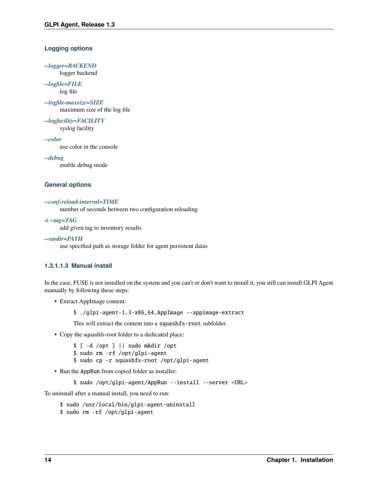### **Logging options**

*[--logger=BACKEND](#page-27-9)* logger backend

*[--logfile=FILE](#page-27-10)* log file

*[--logfile-maxsize=SIZE](#page-27-11)* maximum size of the log file

*[--logfacility=FACILITY](#page-27-12)* syslog facility

*[--color](#page-27-13)*

use color in the console

*[--debug](#page-28-5)*

enable debug mode

#### **General options**

#### *[--conf-reload-interval=TIME](#page-26-8)*

number of seconds between two configuration reloading

#### *[-t --tag=TAG](#page-28-6)*

add given tag to inventory results

#### *[--vardir=PATH](#page-28-7)*

use specified path as storage folder for agent persistent datas

#### <span id="page-19-0"></span>**1.3.1.1.3 Manual install**

In the case, FUSE is not installed on the system and you can't or don't want to install it, you still can install GLPI Agent manually by following these steps:

- Extract AppImage content:
	- \$ ./glpi-agent-1.3-x86\_64.AppImage --appimage-extract

This will extract the content into a squashfs-root subfolder.

- Copy the squashfs-root folder to a dedicated place:
	- \$ [ -d /opt ] || sudo mkdir /opt
	- \$ sudo rm -rf /opt/glpi-agent
	- \$ sudo cp -r squashfs-root /opt/glpi-agent
- Run the AppRun from copied folder as installer:

\$ sudo /opt/glpi-agent/AppRun --install --server <URL>

To uninstall after a manual install, you need to run:

- \$ sudo /usr/local/bin/glpi-agent-uninstall
- \$ sudo rm -rf /opt/glpi-agent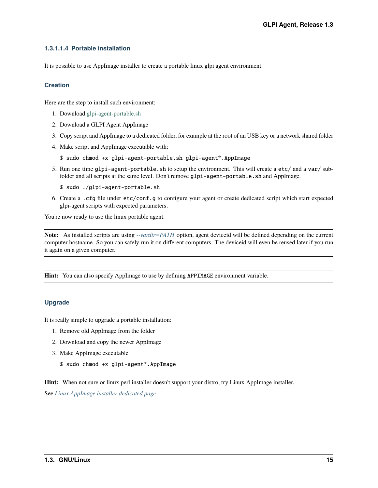### <span id="page-20-0"></span>**1.3.1.1.4 Portable installation**

It is possible to use AppImage installer to create a portable linux glpi agent environment.

#### **Creation**

Here are the step to install such environment:

- 1. Download [glpi-agent-portable.sh](https://raw.githubusercontent.com/glpi-project/glpi-agent/develop/contrib/unix/glpi-agent-portable.sh)
- 2. Download a GLPI Agent AppImage
- 3. Copy script and AppImage to a dedicated folder, for example at the root of an USB key or a network shared folder
- 4. Make script and AppImage executable with:
	- \$ sudo chmod +x glpi-agent-portable.sh glpi-agent\*.AppImage
- 5. Run one time glpi-agent-portable.sh to setup the environment. This will create a etc/ and a var/ subfolder and all scripts at the same level. Don't remove glpi-agent-portable. sh and AppImage.
	- \$ sudo ./glpi-agent-portable.sh
- 6. Create a .cfg file under etc/conf.g to configure your agent or create dedicated script which start expected glpi-agent scripts with expected parameters.

You're now ready to use the linux portable agent.

**Note:** As installed scripts are using *[--vardir=PATH](#page-28-7)* option, agent deviceid will be defined depending on the current computer hostname. So you can safely run it on different computers. The deviceid will even be reused later if you run it again on a given computer.

**Hint:** You can also specify AppImage to use by defining APPIMAGE environment variable.

### **Upgrade**

It is really simple to upgrade a portable installation:

- 1. Remove old AppImage from the folder
- 2. Download and copy the newer AppImage
- 3. Make AppImage executable
	- \$ sudo chmod +x glpi-agent\*.AppImage

**Hint:** When not sure or linux perl installer doesn't support your distro, try Linux AppImage installer.

See *[Linux AppImage installer dedicated page](#page-15-2)*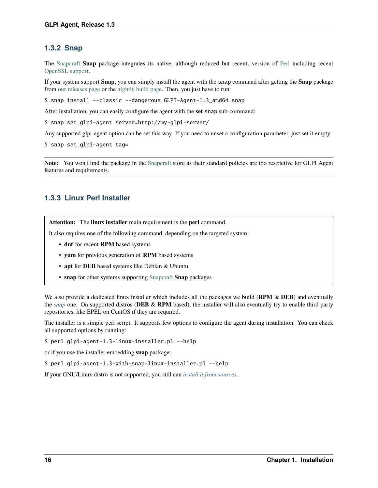# <span id="page-21-0"></span>**1.3.2 Snap**

The [Snapcraft](https://snapcraft.io/) **Snap** package integrates its native, although reduced but recent, version of [Perl](https://www.perl.org/) including recent [OpenSSL support.](https://www.openssl.org/)

If your system support **Snap**, you can simply install the agent with the snap command after getting the **Snap** package from [our releases page](https://github.com/glpi-project/glpi-agent/releases) or the [nightly build page.](https://nightly.glpi-project.org/glpi-agent) Then, you just have to run:

\$ snap install --classic --dangerous GLPI-Agent-1.3\_amd64.snap

After installation, you can easily configure the agent with the **set** snap sub-command:

\$ snap set glpi-agent server=http://my-glpi-server/

Any supported glpi-agent option can be set this way. If you need to unset a configuration parameter, just set it empty:

\$ snap set glpi-agent tag=

**Note:** You won't find the package in the [Snapcraft](https://snapcraft.io/) store as their standard policies are too restrictive for GLPI Agent features and requirements.

# <span id="page-21-1"></span>**1.3.3 Linux Perl Installer**

**Attention:** The **linux installer** main requirement is the **perl** command.

It also requires one of the following command, depending on the targeted system:

- **dnf** for recent **RPM** based systems
- **yum** for previous generation of **RPM** based systems
- **apt** for **DEB** based systems like Debian & Ubuntu
- **snap** for other systems supporting [Snapcraft](https://snapcraft.io/) **Snap** packages

We also provide a dedicated linux installer which includes all the packages we build (**RPM** & **DEB**) and eventually the *[snap](#page-21-0)* one. On supported distros (**DEB** & **RPM** based), the installer will also eventually try to enable third party repositories, like EPEL on CentOS if they are required.

The installer is a simple perl script. It supports few options to configure the agent during installation. You can check all supported options by running:

\$ perl glpi-agent-1.3-linux-installer.pl --help

or if you use the installer embedding **snap** package:

\$ perl glpi-agent-1.3-with-snap-linux-installer.pl --help

If your GNU/Linux distro is not supported, you still can *[install it from sources](#page-22-0)*.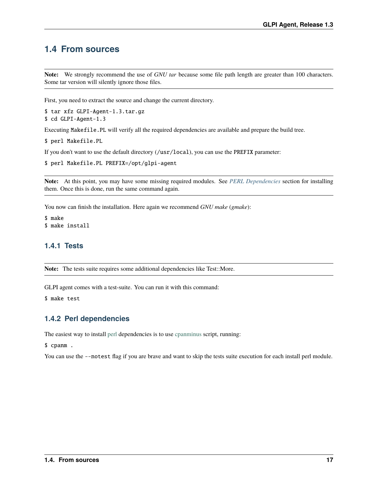# <span id="page-22-0"></span>**1.4 From sources**

**Note:** We strongly recommend the use of *GNU tar* because some file path length are greater than 100 characters. Some tar version will silently ignore those files.

First, you need to extract the source and change the current directory.

\$ tar xfz GLPI-Agent-1.3.tar.gz

```
$ cd GLPI-Agent-1.3
```
Executing Makefile.PL will verify all the required dependencies are available and prepare the build tree.

\$ perl Makefile.PL

If you don't want to use the default directory (/usr/local), you can use the PREFIX parameter:

```
$ perl Makefile.PL PREFIX=/opt/glpi-agent
```
**Note:** At this point, you may have some missing required modules. See *[PERL Dependencies](#page-22-2)* section for installing them. Once this is done, run the same command again.

You now can finish the installation. Here again we recommend *GNU make* (*gmake*):

```
$ make
$ make install
```
#### <span id="page-22-1"></span>**1.4.1 Tests**

Note: The tests suite requires some additional dependencies like Test::More.

GLPI agent comes with a test-suite. You can run it with this command:

\$ make test

#### <span id="page-22-2"></span>**1.4.2 Perl dependencies**

The easiest way to install [perl](https://www.perl.org/) dependencies is to use [cpanminus](https://cpanmin.us/) script, running:

\$ cpanm .

You can use the --notest flag if you are brave and want to skip the tests suite execution for each install perl module.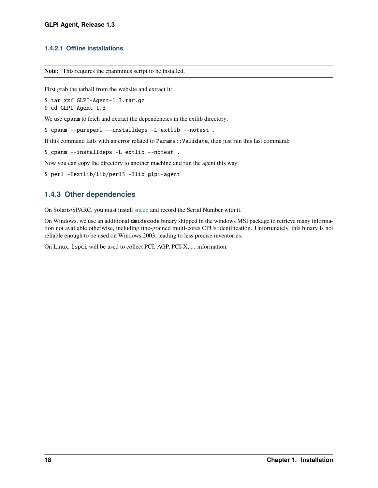### <span id="page-23-0"></span>**1.4.2.1 Offline installations**

**Note:** This requires the cpanminus script to be installed.

First grab the tarball from the website and extract it:

\$ tar xzf GLPI-Agent-1.3.tar.gz

\$ cd GLPI-Agent-1.3

We use cpanm to fetch and extract the dependencies in the extlib directory:

\$ cpanm --pureperl --installdeps -L extlib --notest .

If this command fails with an error related to Params::Validate, then just run this last command:

\$ cpanm --installdeps -L extlib --notest .

Now you can copy the directory to another machine and run the agent this way:

```
$ perl -Iextlib/lib/perl5 -Ilib glpi-agent
```
# <span id="page-23-1"></span>**1.4.3 Other dependencies**

On Solaris/SPARC, you must install [sneep](https://docs.oracle.com/cd/E35557_01/doc.81/e35226/ch3_sneep.htm#IGSTB133) and record the Serial Number with it.

On Windows, we use an additional dmidecode binary shipped in the windows MSI package to retrieve many information not available otherwise, including fine-grained multi-cores CPUs identification. Unfortunately, this binary is not reliable enough to be used on Windows 2003, leading to less precise inventories.

On Linux, lspci will be used to collect PCI, AGP, PCI-X, ... information.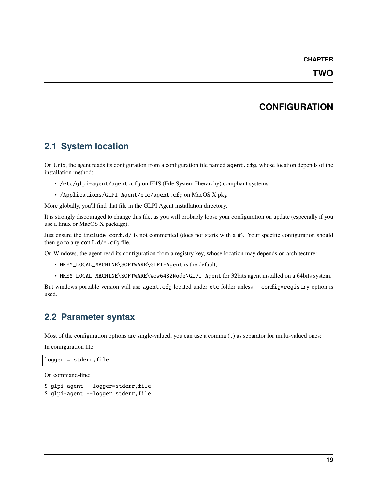### **CHAPTER**

# **CONFIGURATION**

# <span id="page-24-1"></span><span id="page-24-0"></span>**2.1 System location**

On Unix, the agent reads its configuration from a configuration file named agent.cfg, whose location depends of the installation method:

- /etc/glpi-agent/agent.cfg on FHS (File System Hierarchy) compliant systems
- /Applications/GLPI-Agent/etc/agent.cfg on MacOS X pkg

More globally, you'll find that file in the GLPI Agent installation directory.

It is strongly discouraged to change this file, as you will probably loose your configuration on update (especially if you use a linux or MacOS X package).

Just ensure the include conf.d/ is not commented (does not starts with a #). Your specific configuration should then go to any conf.d/\*.cfg file.

On Windows, the agent read its configuration from a registry key, whose location may depends on architecture:

- HKEY\_LOCAL\_MACHINE\SOFTWARE\GLPI-Agent is the default,
- HKEY\_LOCAL\_MACHINE\SOFTWARE\Wow6432Node\GLPI-Agent for 32bits agent installed on a 64bits system.

But windows portable version will use agent.cfg located under etc folder unless --config=registry option is used.

# <span id="page-24-2"></span>**2.2 Parameter syntax**

Most of the configuration options are single-valued; you can use a comma (,) as separator for multi-valued ones:

In configuration file:

 $logger = stderr, file$ 

On command-line:

```
$ glpi-agent --logger=stderr,file
$ glpi-agent --logger stderr,file
```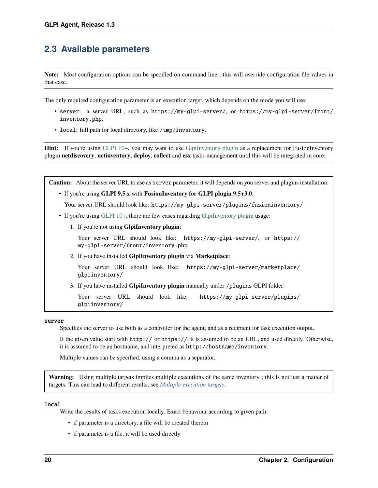# <span id="page-25-0"></span>**2.3 Available parameters**

**Note:** Most configuration options can be specified on command line ; this will override configuration file values in that case.

The only required configuration parameter is an execution target, which depends on the mode you will use:

- server: a server URL, such as https://my-glpi-server/, or https://my-glpi-server/front/ inventory.php,
- <span id="page-25-1"></span>• local: full path for local directory, like /tmp/inventory.

**Hint:** If you're using [GLPI 10+,](https://glpi10.com/) you may want to use [GlpiInventory plugin](https://plugins.glpi-project.org/#/plugin/glpiinventory) as a replacement for FusionInventory plugin **netdiscovery**, **netinventory**, **deploy**, **collect** and **esx** tasks management until this will be integrated in core.

**Caution:** About the server URL to use as server parameter, it will depends on you server and plugins installation: • If you're using **GLPI 9.5.x** with **FusionInventory for GLPI plugin 9.5+3.0**: Your server URL should look like: https://my-glpi-server/plugins/fusioninventory/ • If you're using [GLPI 10+,](https://glpi10.com/) there are few cases regarding [GlpiInventory plugin](https://plugins.glpi-project.org/#/plugin/glpiinventory) usage: 1. If you're not using **GlpiInventory plugin**: Your server URL should look like: https://my-glpi-server/, or https:// my-glpi-server/front/inventory.php 2. If you have installed **GlpiInventory plugin** via **Marketplace**: Your server URL should look like: https://my-glpi-server/marketplace/ glpiinventory/ 3. If you have installed **GlpiInventory plugin** manually under /plugins GLPI folder: Your server URL should look like: https://my-glpi-server/plugins/ glpiinventory/

#### server

Specifies the server to use both as a controller for the agent, and as a recipient for task execution output.

If the given value start with http:// or https://, it is assumed to be an URL, and used directly. Otherwise, it is assumed to be an hostname, and interpreted as http://hostname/inventory.

Multiple values can be specified, using a comma as a separator.

**Warning:** Using multiple targets implies multiple executions of the same inventory ; this is not just a matter of targets. This can lead to different results, see *[Multiple execution targets](#page-34-0)*.

#### <span id="page-25-2"></span>local

Write the results of tasks execution locally. Exact behaviour according to given path:

- if parameter is a directory, a file will be created therein
- if parameter is a file, it will be used directly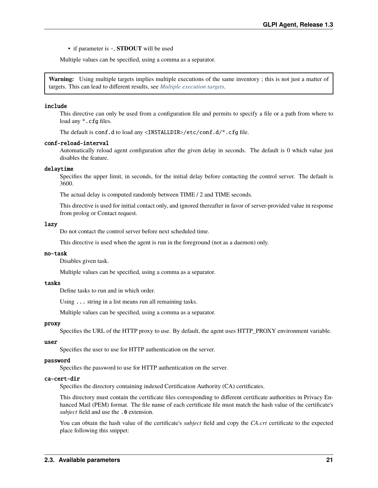• if parameter is -, **STDOUT** will be used

Multiple values can be specified, using a comma as a separator.

**Warning:** Using multiple targets implies multiple executions of the same inventory ; this is not just a matter of targets. This can lead to different results, see *[Multiple execution targets](#page-34-0)*.

#### include

This directive can only be used from a configuration file and permits to specify a file or a path from where to load any  $*$ . cfg files.

The default is conf.d to load any <INSTALLDIR>/etc/conf.d/\*.cfg file.

#### <span id="page-26-8"></span>conf-reload-interval

Automatically reload agent configuration after the given delay in seconds. The default is 0 which value just disables the feature.

#### <span id="page-26-0"></span>delaytime

Specifies the upper limit, in seconds, for the initial delay before contacting the control server. The default is 3600.

The actual delay is computed randomly between TIME / 2 and TIME seconds.

This directive is used for initial contact only, and ignored thereafter in favor of server-provided value in response from prolog or Contact request.

#### <span id="page-26-1"></span>lazy

Do not contact the control server before next scheduled time.

This directive is used when the agent is run in the foreground (not as a daemon) only.

#### <span id="page-26-2"></span>no-task

Disables given task.

Multiple values can be specified, using a comma as a separator.

#### <span id="page-26-3"></span>tasks

Define tasks to run and in which order.

Using ... string in a list means run all remaining tasks.

Multiple values can be specified, using a comma as a separator.

#### <span id="page-26-4"></span>proxy

Specifies the URL of the HTTP proxy to use. By default, the agent uses HTTP\_PROXY environment variable.

#### <span id="page-26-5"></span>user

Specifies the user to use for HTTP authentication on the server.

#### <span id="page-26-6"></span>password

Specifies the password to use for HTTP authentication on the server.

#### <span id="page-26-7"></span>ca-cert-dir

Specifies the directory containing indexed Certification Authority (CA) certificates.

This directory must contain the certificate files corresponding to different certificate authorities in Privacy Enhanced Mail (PEM) format. The file name of each certificate file must match the hash value of the certificate's *subject* field and use the .0 extension.

You can obtain the hash value of the certificate's *subject* field and copy the *CA.crt* certificate to the expected place following this snippet: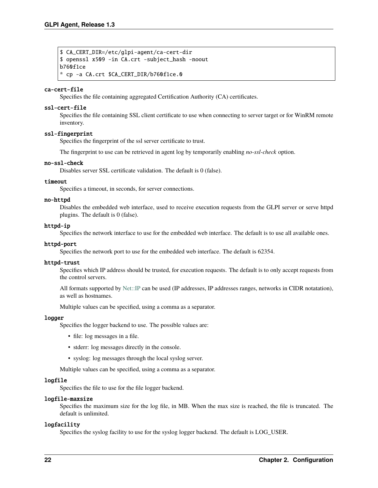```
$ CA_CERT_DIR=/etc/glpi-agent/ca-cert-dir
$ openssl x509 -in CA.crt -subject_hash -noout
b760f1ce
* cp -a CA.crt $CA_CERT_DIR/b760f1ce.0
```
#### <span id="page-27-0"></span>ca-cert-file

Specifies the file containing aggregated Certification Authority (CA) certificates.

#### <span id="page-27-1"></span>ssl-cert-file

Specifies the file containing SSL client certificate to use when connecting to server target or for WinRM remote inventory.

#### <span id="page-27-2"></span>ssl-fingerprint

Specifies the fingerprint of the ssl server certificate to trust.

The fingerprint to use can be retrieved in agent log by temporarily enabling *no-ssl-check* option.

#### <span id="page-27-3"></span>no-ssl-check

Disables server SSL certificate validation. The default is 0 (false).

#### <span id="page-27-4"></span>timeout

Specifies a timeout, in seconds, for server connections.

#### <span id="page-27-5"></span>no-httpd

Disables the embedded web interface, used to receive execution requests from the GLPI server or serve httpd plugins. The default is 0 (false).

#### <span id="page-27-6"></span>httpd-ip

Specifies the network interface to use for the embedded web interface. The default is to use all available ones.

#### <span id="page-27-7"></span>httpd-port

Specifies the network port to use for the embedded web interface. The default is 62354.

#### <span id="page-27-8"></span>httpd-trust

Specifies which IP address should be trusted, for execution requests. The default is to only accept requests from the control servers.

All formats supported by [Net::IP](https://metacpan.org/pod/Net::IP) can be used (IP addresses, IP addresses ranges, networks in CIDR notatation), as well as hostnames.

Multiple values can be specified, using a comma as a separator.

#### <span id="page-27-9"></span>logger

Specifies the logger backend to use. The possible values are:

- file: log messages in a file.
- stderr: log messages directly in the console.
- syslog: log messages through the local syslog server.

Multiple values can be specified, using a comma as a separator.

#### <span id="page-27-10"></span>logfile

Specifies the file to use for the file logger backend.

#### <span id="page-27-11"></span>logfile-maxsize

Specifies the maximum size for the log file, in MB. When the max size is reached, the file is truncated. The default is unlimited.

#### <span id="page-27-13"></span><span id="page-27-12"></span>logfacility

Specifies the syslog facility to use for the syslog logger backend. The default is LOG\_USER.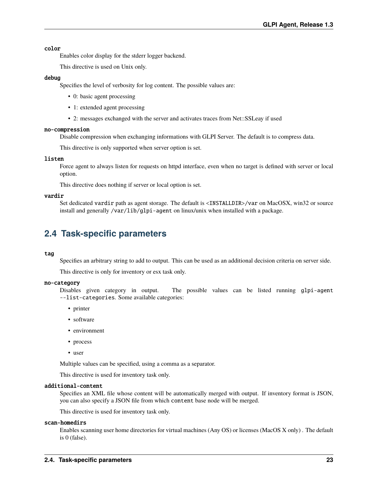#### color

Enables color display for the stderr logger backend.

This directive is used on Unix only.

#### <span id="page-28-5"></span>debug

Specifies the level of verbosity for log content. The possible values are:

- 0: basic agent processing
- 1: extended agent processing
- 2: messages exchanged with the server and activates traces from Net::SSLeay if used

#### <span id="page-28-3"></span>no-compression

Disable compression when exchanging informations with GLPI Server. The default is to compress data.

This directive is only supported when server option is set.

#### <span id="page-28-4"></span>listen

Force agent to always listen for requests on httpd interface, even when no target is defined with server or local option.

This directive does nothing if server or local option is set.

#### <span id="page-28-7"></span>vardir

Set dedicated vardir path as agent storage. The default is <INSTALLDIR>/var on MacOSX, win32 or source install and generally /var/lib/glpi-agent on linux/unix when installed with a package.

# <span id="page-28-0"></span>**2.4 Task-specific parameters**

#### <span id="page-28-6"></span>tag

Specifies an arbitrary string to add to output. This can be used as an additional decision criteria on server side.

This directive is only for inventory or esx task only.

#### <span id="page-28-1"></span>no-category

Disables given category in output. The possible values can be listed running glpi-agent --list-categories. Some available categories:

- printer
- software
- environment
- process
- user

Multiple values can be specified, using a comma as a separator.

This directive is used for inventory task only.

#### additional-content

Specifies an XML file whose content will be automatically merged with output. If inventory format is JSON, you can also specify a JSON file from which content base node will be merged.

This directive is used for inventory task only.

#### <span id="page-28-2"></span>scan-homedirs

Enables scanning user home directories for virtual machines (Any OS) or licenses (MacOS X only) . The default is 0 (false).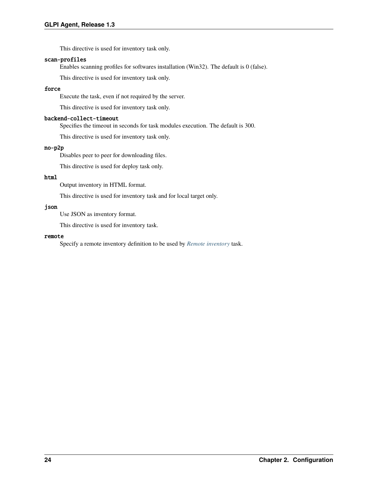This directive is used for inventory task only.

#### <span id="page-29-0"></span>scan-profiles

Enables scanning profiles for softwares installation (Win32). The default is 0 (false).

This directive is used for inventory task only.

### <span id="page-29-3"></span>force

Execute the task, even if not required by the server.

This directive is used for inventory task only.

#### <span id="page-29-4"></span>backend-collect-timeout

Specifies the timeout in seconds for task modules execution. The default is 300.

This directive is used for inventory task only.

#### <span id="page-29-6"></span>no-p2p

Disables peer to peer for downloading files.

This directive is used for deploy task only.

#### <span id="page-29-1"></span>html

Output inventory in HTML format.

This directive is used for inventory task and for local target only.

#### <span id="page-29-2"></span>json

Use JSON as inventory format.

This directive is used for inventory task.

#### <span id="page-29-5"></span>remote

Specify a remote inventory definition to be used by *[Remote inventory](#page-36-1)* task.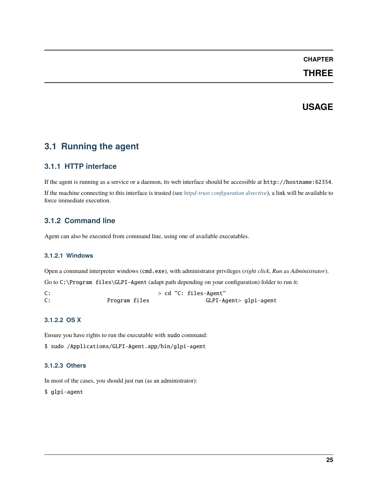# **CHAPTER**

# **THREE**

# **USAGE**

# <span id="page-30-1"></span><span id="page-30-0"></span>**3.1 Running the agent**

# <span id="page-30-2"></span>**3.1.1 HTTP interface**

If the agent is running as a service or a daemon, its web interface should be accessible at http://hostname:62354.

If the machine connecting to this interface is trusted (see *[httpd-trust configuration directive](#page-27-8)*), a link will be available to force immediate execution.

# <span id="page-30-3"></span>**3.1.2 Command line**

Agent can also be executed from command line, using one of available executables.

#### <span id="page-30-4"></span>**3.1.2.1 Windows**

Open a command interpreter windows (cmd.exe), with administrator privileges (*right click*, *Run as Administrator*).

Go to C:\Program files\GLPI-Agent (adapt path depending on your configuration) folder to run it:

C:  $> cd$  "C: files-Agent" C: Program files GLPI-Agent> glpi-agent

### <span id="page-30-5"></span>**3.1.2.2 OS X**

Ensure you have rights to run the executable with sudo command:

\$ sudo /Applications/GLPI-Agent.app/bin/glpi-agent

### <span id="page-30-6"></span>**3.1.2.3 Others**

In most of the cases, you should just run (as an administrator):

\$ glpi-agent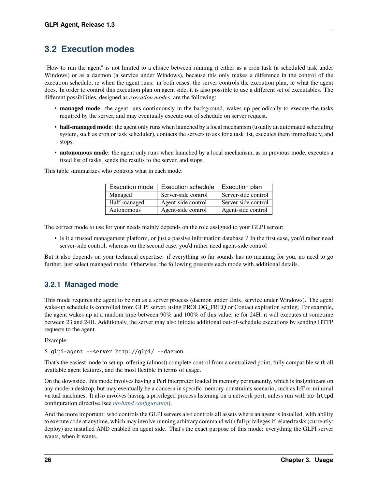# <span id="page-31-0"></span>**3.2 Execution modes**

"How to run the agent" is not limited to a choice between running it either as a cron task (a scheduled task under Windows) or as a daemon (a service under Windows), because this only makes a difference in the control of the execution schedule, ie when the agent runs: in both cases, the server controls the execution plan, ie what the agent does. In order to control this execution plan on agent side, it is also possible to use a different set of executables. The different possibilities, designed as *execution modes*, are the following:

- **managed mode**: the agent runs continuously in the background, wakes up periodically to execute the tasks required by the server, and may eventually execute out of schedule on server request.
- **half-managed mode**: the agent only runs when launched by a local mechanism (usually an automated scheduling system, such as cron or task scheduler), contacts the servers to ask for a task list, executes them immediately, and stops.
- **autonomous mode**: the agent only runs when launched by a local mechanism, as in previous mode, executes a fixed list of tasks, sends the results to the server, and stops.

Execution mode  $|$  Execution schedule  $|$  Execution plan Managed Server-side control Server-side control Half-managed Agent-side control Server-side control Autonomous | Agent-side control | Agent-side control

This table summarizes who controls what in each mode:

The correct mode to use for your needs mainly depends on the role assigned to your GLPI server:

• Is it a trusted management platform, or just a passive information database ? In the first case, you'd rather need server-side control, whereas on the second case, you'd rather need agent-side control

But it also depends on your technical expertise: if everything so far sounds has no meaning for you, no need to go further, just select managed mode. Otherwise, the following presents each mode with additional details.

# <span id="page-31-1"></span>**3.2.1 Managed mode**

This mode requires the agent to be run as a server process (daemon under Unix, service under Windows). The agent wake-up schedule is controlled from GLPI server, using PROLOG\_FREQ or Contact expiration setting. For example, the agent wakes up at a random time between 90% and 100% of this value, ie for 24H, it will executes at sometime between 23 and 24H. Additionaly, the server may also initiate additional out-of-schedule executions by sending HTTP requests to the agent.

Example:

#### \$ glpi-agent --server http://glpi/ --daemon

That's the easiest mode to set up, offering (almost) complete control from a centralized point, fully compatible with all available agent features, and the most flexible in terms of usage.

On the downside, this mode involves having a Perl interpreter loaded in memory permanently, which is insignificant on any modern desktop, but may eventually be a concern in specific memory-constraints scenario, such as IoT or minimal virtual machines. It also involves having a privileged process listening on a network port, unless run with no-httpd configuration directive (see *[no-httpd configuration](#page-27-5)*).

And the more important: who controls the GLPI servers also controls all assets where an agent is installed, with ability to execute code at anytime, which may involve running arbitrary command with full privileges if related tasks (currently: deploy) are installed AND enabled on agent side. That's the exact purpose of this mode: everything the GLPI server wants, when it wants.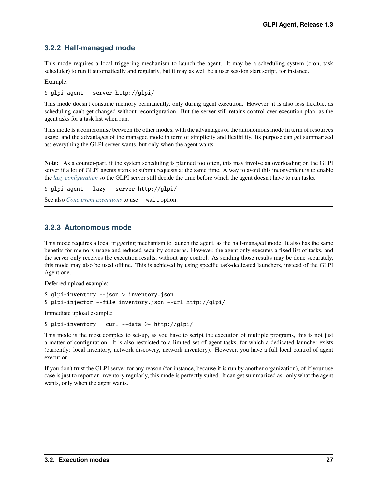# <span id="page-32-0"></span>**3.2.2 Half-managed mode**

This mode requires a local triggering mechanism to launch the agent. It may be a scheduling system (cron, task scheduler) to run it automatically and regularly, but it may as well be a user session start script, for instance.

Example:

\$ glpi-agent --server http://glpi/

This mode doesn't consume memory permanently, only during agent execution. However, it is also less flexible, as scheduling can't get changed without reconfiguration. But the server still retains control over execution plan, as the agent asks for a task list when run.

This mode is a compromise between the other modes, with the advantages of the autonomous mode in term of resources usage, and the advantages of the managed mode in term of simplicity and flexibility. Its purpose can get summarized as: everything the GLPI server wants, but only when the agent wants.

**Note:** As a counter-part, if the system scheduling is planned too often, this may involve an overloading on the GLPI server if a lot of GLPI agents starts to submit requests at the same time. A way to avoid this inconvenient is to enable the *[lazy configuration](#page-26-1)* so the GLPI server still decide the time before which the agent doesn't have to run tasks.

```
$ glpi-agent --lazy --server http://glpi/
```
See also *[Concurrent executions](#page-33-7)* to use --wait option.

# <span id="page-32-1"></span>**3.2.3 Autonomous mode**

This mode requires a local triggering mechanism to launch the agent, as the half-managed mode. It also has the same benefits for memory usage and reduced security concerns. However, the agent only executes a fixed list of tasks, and the server only receives the execution results, without any control. As sending those results may be done separately, this mode may also be used offline. This is achieved by using specific task-dedicated launchers, instead of the GLPI Agent one.

Deferred upload example:

```
$ glpi-inventory --json > inventory.json
$ glpi-injector --file inventory.json --url http://glpi/
```
Immediate upload example:

\$ glpi-inventory | curl --data @- http://glpi/

This mode is the most complex to set-up, as you have to script the execution of multiple programs, this is not just a matter of configuration. It is also restricted to a limited set of agent tasks, for which a dedicated launcher exists (currently: local inventory, network discovery, network inventory). However, you have a full local control of agent execution.

If you don't trust the GLPI server for any reason (for instance, because it is run by another organization), of if your use case is just to report an inventory regularly, this mode is perfectly suited. It can get summarized as: only what the agent wants, only when the agent wants.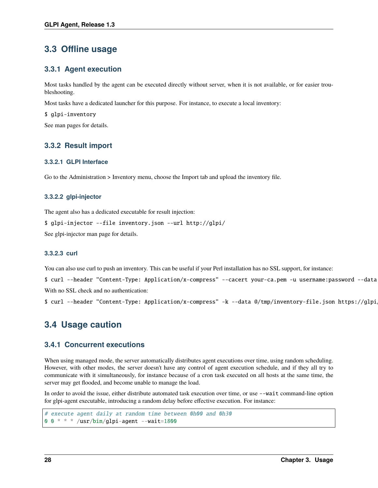# <span id="page-33-0"></span>**3.3 Offline usage**

# <span id="page-33-1"></span>**3.3.1 Agent execution**

Most tasks handled by the agent can be executed directly without server, when it is not available, or for easier troubleshooting.

Most tasks have a dedicated launcher for this purpose. For instance, to execute a local inventory:

\$ glpi-inventory

See man pages for details.

# <span id="page-33-2"></span>**3.3.2 Result import**

#### <span id="page-33-3"></span>**3.3.2.1 GLPI Interface**

Go to the Administration > Inventory menu, choose the Import tab and upload the inventory file.

#### <span id="page-33-4"></span>**3.3.2.2 glpi-injector**

The agent also has a dedicated executable for result injection:

```
$ glpi-injector --file inventory.json --url http://glpi/
```
See glpi-injector man page for details.

#### <span id="page-33-5"></span>**3.3.2.3 curl**

You can also use curl to push an inventory. This can be useful if your Perl installation has no SSL support, for instance:

\$ curl --header "Content-Type: Application/x-compress" --cacert your-ca.pem -u username:password --data With no SSL check and no authentication:

\$ curl --header "Content-Type: Application/x-compress" -k --data @/tmp/inventory-file.json https://glpi/

# <span id="page-33-6"></span>**3.4 Usage caution**

# <span id="page-33-7"></span>**3.4.1 Concurrent executions**

When using managed mode, the server automatically distributes agent executions over time, using random scheduling. However, with other modes, the server doesn't have any control of agent execution schedule, and if they all try to communicate with it simultaneously, for instance because of a cron task executed on all hosts at the same time, the server may get flooded, and become unable to manage the load.

In order to avoid the issue, either distribute automated task execution over time, or use --wait command-line option for glpi-agent executable, introducing a random delay before effective execution. For instance:

```
# execute agent daily at random time between 0h00 and 0h30
0 0 * * * /usr/bin/glpi-agent --wait=1800
```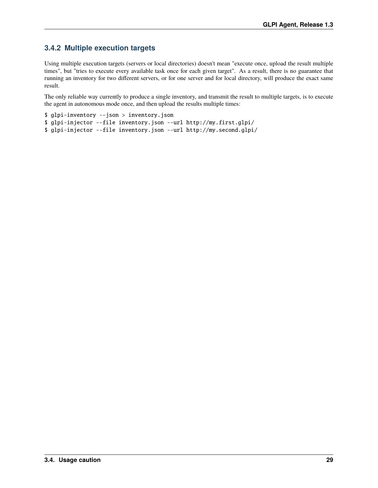# <span id="page-34-0"></span>**3.4.2 Multiple execution targets**

Using multiple execution targets (servers or local directories) doesn't mean "execute once, upload the result multiple times", but "tries to execute every available task once for each given target". As a result, there is no guarantee that running an inventory for two different servers, or for one server and for local directory, will produce the exact same result.

The only reliable way currently to produce a single inventory, and transmit the result to multiple targets, is to execute the agent in autonomous mode once, and then upload the results multiple times:

```
$ glpi-inventory --json > inventory.json
$ glpi-injector --file inventory.json --url http://my.first.glpi/
$ glpi-injector --file inventory.json --url http://my.second.glpi/
```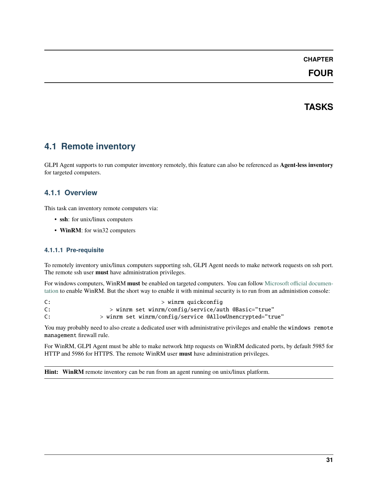## **CHAPTER**

## **FOUR**

## **TASKS**

## **4.1 Remote inventory**

GLPI Agent supports to run computer inventory remotely, this feature can also be referenced as **Agent-less inventory** for targeted computers.

## **4.1.1 Overview**

This task can inventory remote computers via:

- **ssh**: for unix/linux computers
- **WinRM**: for win32 computers

### **4.1.1.1 Pre-requisite**

To remotely inventory unix/linux computers supporting ssh, GLPI Agent needs to make network requests on ssh port. The remote ssh user **must** have administration privileges.

For windows computers, WinRM **must** be enabled on targeted computers. You can follow [Microsoft official documen](https://docs.microsoft.com/en-us/windows/win32/winrm/installation-and-configuration-for-windows-remote-management)[tation](https://docs.microsoft.com/en-us/windows/win32/winrm/installation-and-configuration-for-windows-remote-management) to enable WinRM. But the short way to enable it with minimal security is to run from an administion console:

C:  $>$  winrm quickconfig C: > winrm set winrm/config/service/auth @Basic="true" C: > winrm set winrm/config/service @AllowUnencrypted="true"

You may probably need to also create a dedicated user with administrative privileges and enable the windows remote management firewall rule.

For WinRM, GLPI Agent must be able to make network http requests on WinRM dedicated ports, by default 5985 for HTTP and 5986 for HTTPS. The remote WinRM user **must** have administration privileges.

**Hint:** WinRM remote inventory can be run from an agent running on unix/linux platform.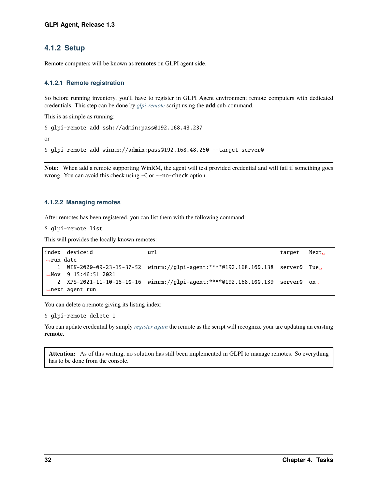## **4.1.2 Setup**

Remote computers will be known as **remotes** on GLPI agent side.

### <span id="page-37-0"></span>**4.1.2.1 Remote registration**

So before running inventory, you'll have to register in GLPI Agent environment remote computers with dedicated credentials. This step can be done by *[glpi-remote](#page-76-0)* script using the **add** sub-command.

This is as simple as running:

```
$ glpi-remote add ssh://admin:pass@192.168.43.237
```
or

```
$ glpi-remote add winrm://admin:pass@192.168.48.250 --target server0
```
**Note:** When add a remote supporting WinRM, the agent will test provided credential and will fail if something goes wrong. You can avoid this check using -C or --no-check option.

### **4.1.2.2 Managing remotes**

After remotes has been registered, you can list them with the following command:

\$ glpi-remote list

This will provides the locally known remotes:

```
index deviceid url target Next␣
˓→run date
   1 WIN-2020-09-23-15-37-52 winrm://glpi-agent:****@192.168.100.138 server0 Tue␣
˓→Nov 9 15:46:51 2021
  2 XPS-2021-11-10-15-10-16 winrm://glpi-agent:****@192.168.100.139 server0 on␣
˓→next agent run
```
You can delete a remote giving its listing index:

\$ glpi-remote delete 1

You can update credential by simply *[register again](#page-37-0)* the remote as the script will recognize your are updating an existing **remote**.

Attention: As of this writing, no solution has still been implemented in GLPI to manage remotes. So everything has to be done from the console.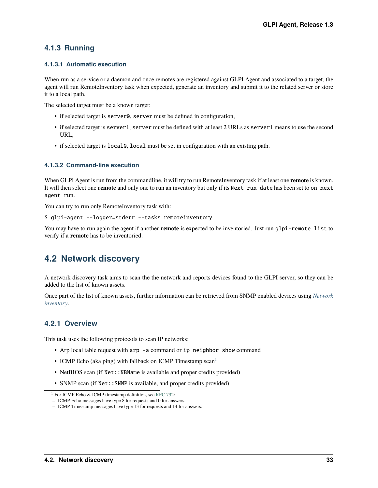## **4.1.3 Running**

### **4.1.3.1 Automatic execution**

When run as a service or a daemon and once remotes are registered against GLPI Agent and associated to a target, the agent will run RemoteInventory task when expected, generate an inventory and submit it to the related server or store it to a local path.

The selected target must be a known target:

- if selected target is server0, server must be defined in configuration,
- if selected target is server1, server must be defined with at least 2 URLs as server1 means to use the second URL,
- if selected target is local0, local must be set in configuration with an existing path.

### **4.1.3.2 Command-line execution**

When GLPI Agent is run from the commandline, it will try to run RemoteInventory task if at least one **remote** is known. It will then select one **remote** and only one to run an inventory but only if its Next run date has been set to on next agent run.

You can try to run only RemoteInventory task with:

\$ glpi-agent --logger=stderr --tasks remoteinventory

You may have to run again the agent if another **remote** is expected to be inventoried. Just run glpi-remote list to verify if a **remote** has to be inventoried.

## <span id="page-38-1"></span>**4.2 Network discovery**

A network discovery task aims to scan the the network and reports devices found to the GLPI server, so they can be added to the list of known assets.

Once part of the list of known assets, further information can be retrieved from SNMP enabled devices using *[Network](#page-41-0) [inventory](#page-41-0)*.

## **4.2.1 Overview**

This task uses the following protocols to scan IP networks:

- Arp local table request with arp -a command or ip neighbor show command
- ICMP Echo (aka ping) with fallback on ICMP Timestamp scan<sup>[1](#page-38-0)</sup>
- NetBIOS scan (if Net:: NBName is available and proper credits provided)
- SNMP scan (if Net:: SNMP is available, and proper credits provided)

<span id="page-38-0"></span><sup>1</sup> For ICMP Echo & ICMP timestamp definition, see [RFC 792:](https://www.rfc-editor.org/rfc/rfc792.html)

**<sup>–</sup>** ICMP Echo messages have type 8 for requests and 0 for answers.

**<sup>–</sup>** ICMP Timestamp messages have type 13 for requests and 14 for answers.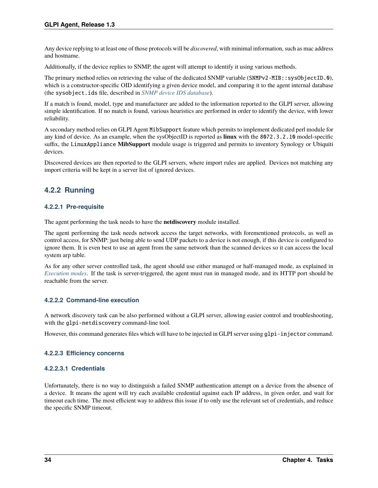Any device replying to at least one of those protocols will be *discovered*, with minimal information, such as mac address and hostname.

Additionally, if the device replies to SNMP, the agent will attempt to identify it using various methods.

The primary method relies on retrieving the value of the dedicated SNMP variable (SNMPv2-MIB::sysObjectID.0), which is a constructor-specific OID identifying a given device model, and comparing it to the agent internal database (the sysobject.ids file, described in *[SNMP device IDS database](#page-56-0)*).

If a match is found, model, type and manufacturer are added to the information reported to the GLPI server, allowing simple identification. If no match is found, various heuristics are performed in order to identify the device, with lower reliability.

A secondary method relies on GLPI Agent MibSupport feature which permits to implement dedicated perl module for any kind of device. As an example, when the sysObjectID is reported as **linux** with the 8072.3.2.10 model-specific suffix, the LinuxAppliance **MibSupport** module usage is triggered and permits to inventory Synology or Ubiquiti devices.

Discovered devices are then reported to the GLPI servers, where import rules are applied. Devices not matching any import criteria will be kept in a server list of ignored devices.

## **4.2.2 Running**

### **4.2.2.1 Pre-requisite**

The agent performing the task needs to have the **netdiscovery** module installed.

The agent performing the task needs network access the target networks, with forementioned protocols, as well as control access, for SNMP: just being able to send UDP packets to a device is not enough, if this device is configured to ignore them. It is even best to use an agent from the same network than the scanned devices so it can access the local system arp table.

As for any other server controlled task, the agent should use either managed or half-managed mode, as explained in *[Execution modes](#page-31-0)*. If the task is server-triggered, the agent must run in managed mode, and its HTTP port should be reachable from the server.

### **4.2.2.2 Command-line execution**

A network discovery task can be also performed without a GLPI server, allowing easier control and troubleshooting, with the glpi-netdiscovery command-line tool.

However, this command generates files which will have to be injected in GLPI server using glpi-injector command.

### **4.2.2.3 Efficiency concerns**

### **4.2.2.3.1 Credentials**

Unfortunately, there is no way to distinguish a failed SNMP authentication attempt on a device from the absence of a device. It means the agent will try each available credential against each IP address, in given order, and wait for timeout each time. The most efficient way to address this issue if to only use the relevant set of credentials, and reduce the specific SNMP timeout.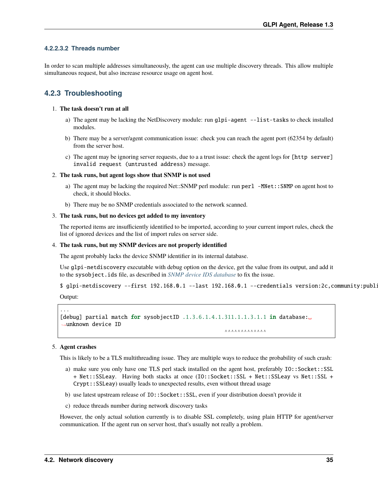### **4.2.2.3.2 Threads number**

In order to scan multiple addresses simultaneously, the agent can use multiple discovery threads. This allow multiple simultaneous request, but also increase resource usage on agent host.

## <span id="page-40-0"></span>**4.2.3 Troubleshooting**

### 1. **The task doesn't run at all**

- a) The agent may be lacking the NetDiscovery module: run glpi-agent --list-tasks to check installed modules.
- b) There may be a server/agent communication issue: check you can reach the agent port (62354 by default) from the server host.
- c) The agent may be ignoring server requests, due to a a trust issue: check the agent logs for [http server] invalid request (untrusted address) message.

### 2. **The task runs, but agent logs show that SNMP is not used**

- a) The agent may be lacking the required Net::SNMP perl module: run perl -MNet::SNMP on agent host to check, it should blocks.
- b) There may be no SNMP credentials associated to the network scanned.

### 3. **The task runs, but no devices get added to my inventory**

The reported items are insufficiently identified to be imported, according to your current import rules, check the list of ignored devices and the list of import rules on server side.

### 4. **The task runs, but my SNMP devices are not properly identified**

The agent probably lacks the device SNMP identifier in its internal database.

Use glpi-netdiscovery executable with debug option on the device, get the value from its output, and add it to the sysobject.ids file, as described in *[SNMP device IDS database](#page-56-0)* to fix the issue.

```
$ glpi-netdiscovery --first 192.168.0.1 --last 192.168.0.1 --credentials version:2c,community:publ:
```
Output:

```
...
[debug] partial match for sysobjectID .1.3.6.1.4.1.311.1.1.3.1.1 in database:
˓→unknown device ID
                                                    ^^^^^^^^^^^^^
```
### 5. **Agent crashes**

This is likely to be a TLS multithreading issue. They are multiple ways to reduce the probability of such crash:

- a) make sure you only have one TLS perl stack installed on the agent host, preferably IO::Socket::SSL + Net::SSLeay. Having both stacks at once (IO::Socket::SSL + Net::SSLeay vs Net::SSL + Crypt::SSLeay) usually leads to unexpected results, even without thread usage
- b) use latest upstream release of  $I0$ : Socket: : SSL, even if your distribution doesn't provide it
- c) reduce threads number during network discovery tasks

However, the only actual solution currently is to disable SSL completely, using plain HTTP for agent/server communication. If the agent run on server host, that's usually not really a problem.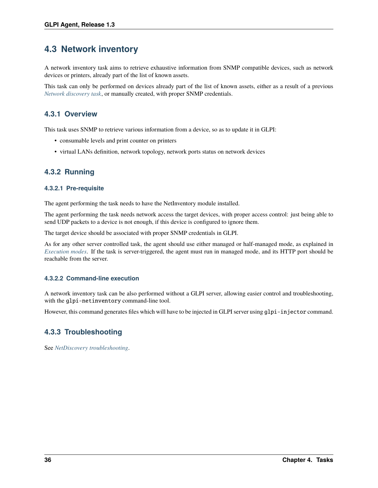# <span id="page-41-0"></span>**4.3 Network inventory**

A network inventory task aims to retrieve exhaustive information from SNMP compatible devices, such as network devices or printers, already part of the list of known assets.

This task can only be performed on devices already part of the list of known assets, either as a result of a previous *[Network discovery task](#page-38-1)*, or manually created, with proper SNMP credentials.

## **4.3.1 Overview**

This task uses SNMP to retrieve various information from a device, so as to update it in GLPI:

- consumable levels and print counter on printers
- virtual LANs definition, network topology, network ports status on network devices

## **4.3.2 Running**

### **4.3.2.1 Pre-requisite**

The agent performing the task needs to have the NetInventory module installed.

The agent performing the task needs network access the target devices, with proper access control: just being able to send UDP packets to a device is not enough, if this device is configured to ignore them.

The target device should be associated with proper SNMP credentials in GLPI.

As for any other server controlled task, the agent should use either managed or half-managed mode, as explained in *[Execution modes](#page-31-0)*. If the task is server-triggered, the agent must run in managed mode, and its HTTP port should be reachable from the server.

### **4.3.2.2 Command-line execution**

A network inventory task can be also performed without a GLPI server, allowing easier control and troubleshooting, with the glpi-netinventory command-line tool.

However, this command generates files which will have to be injected in GLPI server using glpi-injector command.

## **4.3.3 Troubleshooting**

See *[NetDiscovery troubleshooting](#page-40-0)*.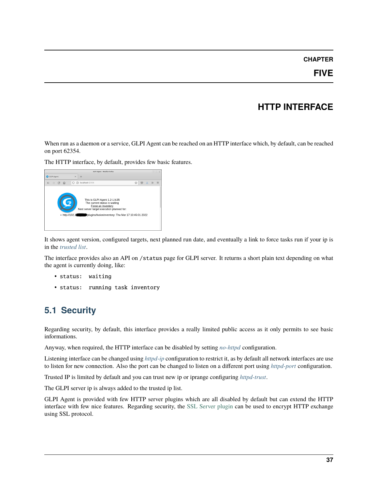### **CHAPTER**

# **HTTP INTERFACE**

When run as a daemon or a service, GLPI Agent can be reached on an HTTP interface which, by default, can be reached on port 62354.

The HTTP interface, by default, provides few basic features.



It shows agent version, configured targets, next planned run date, and eventually a link to force tasks run if your ip is in the *[trusted list](#page-27-0)*.

The interface provides also an API on /status page for GLPI server. It returns a short plain text depending on what the agent is currently doing, like:

- status: waiting
- status: running task inventory

# **5.1 Security**

Regarding security, by default, this interface provides a really limited public access as it only permits to see basic informations.

Anyway, when required, the HTTP interface can be disabled by setting *[no-httpd](#page-27-1)* configuration.

Listening interface can be changed using *[httpd-ip](#page-27-2)* configuration to restrict it, as by default all network interfaces are use to listen for new connection. Also the port can be changed to listen on a different port using *[httpd-port](#page-27-3)* configuration.

Trusted IP is limited by default and you can trust new ip or iprange configuring *[httpd-trust](#page-27-0)*.

The GLPI server ip is always added to the trusted ip list.

GLPI Agent is provided with few HTTP server plugins which are all disabled by default but can extend the HTTP interface with few nice features. Regarding security, the [SSL Server plugin](ssl-server-plugin.html) can be used to encrypt HTTP exchange using SSL protocol.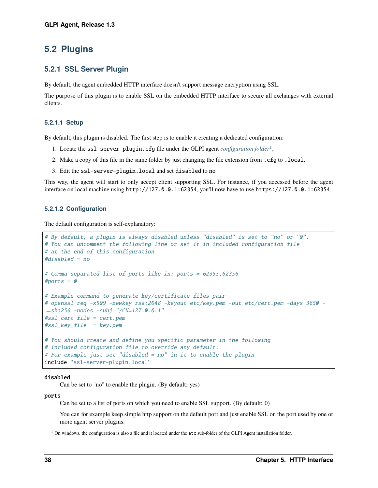## **5.2 Plugins**

### <span id="page-43-1"></span>**5.2.1 SSL Server Plugin**

By default, the agent embedded HTTP interface doesn't support message encryption using SSL.

The purpose of this plugin is to enable SSL on the embedded HTTP interface to secure all exchanges with external clients.

### **5.2.1.1 Setup**

By default, this plugin is disabled. The first step is to enable it creating a dedicated configuration:

- 1. Locate the ssl-server-plugin.cfg file under the GLPI agent *[configuration folder](#page-24-0)*[1](#page-43-0) ,
- 2. Make a copy of this file in the same folder by just changing the file extension from .cfg to .local.
- 3. Edit the ssl-server-plugin.local and set disabled to no

This way, the agent will start to only accept client supporting SSL. For instance, if you accessed before the agent interface on local machine using http://127.0.0.1:62354, you'll now have to use https://127.0.0.1:62354.

### **5.2.1.2 Configuration**

The default configuration is self-explanatory:

```
# By default, a plugin is always disabled unless "disabled" is set to "no" or "0".
# You can uncomment the following line or set it in included configuration file
# at the end of this configuration
#display = no
# Comma separated list of ports like in: ports = 62355,62356
#ports = 0# Example command to generate key/certificate files pair
# openssl req -x509 -newkey rsa:2048 -keyout etc/key.pem -out etc/cert.pem -days 3650 -
\rightarrowsha256 -nodes -subj "/CN=127.0.0.1"
#ssl_cert_file = cert.pem
#ssl\_key\_file = key.pem# You should create and define you specific parameter in the following
# included configuration file to override any default.
# For example just set "disabled = no" in it to enable the plugin
include "ssl-server-plugin.local"
```
### disabled

Can be set to "no" to enable the plugin. (By default: yes)

### ports

Can be set to a list of ports on which you need to enable SSL support. (By default: 0)

You can for example keep simple http support on the default port and just enable SSL on the port used by one or more agent server plugins.

<span id="page-43-0"></span><sup>1</sup> On windows, the configuration is also a file and it located under the etc sub-folder of the GLPI Agent installation folder.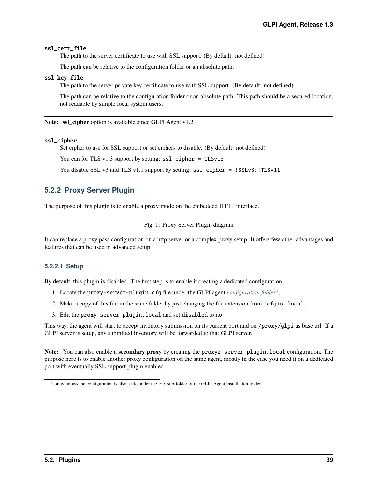### ssl\_cert\_file

The path to the server certificate to use with SSL support. (By default: not defined)

The path can be relative to the configuration folder or an absolute path.

### ssl\_key\_file

The path to the server private key certificate to use with SSL support. (By default: not defined)

The path can be relative to the configuration folder or an absolute path. This path should be a secured location, not readable by simple local system users.

**Note: ssl\_cipher** option is available since GLPI Agent v1.2

#### ssl\_cipher

Set cipher to use for SSL support or set ciphers to disable. (By default: not defined)

You can for TLS v1.3 support by setting: ssl\_cipher = TLSv13

You disable SSL v3 and TLS v1.1 support by setting:  $ssL$ cipher = !SSLv3:!TLSv11

## **5.2.2 Proxy Server Plugin**

The purpose of this plugin is to enable a proxy mode on the embedded HTTP interface.

Fig. 1: Proxy Server Plugin diagram

It can replace a proxy pass configuration on a http server or a complex proxy setup. It offers few other advantages and features that can be used in advanced setup.

### **5.2.2.1 Setup**

By default, this plugin is disabled. The first step is to enable it creating a dedicated configuration:

- 1. Locate the proxy-server-plugin.cfg file under the GLPI agent *[configuration folder](#page-24-0)*[1](#page-44-0) ,
- 2. Make a copy of this file in the same folder by just changing the file extension from .cfg to .local.
- 3. Edit the proxy-server-plugin.local and set disabled to no

This way, the agent will start to accept inventory submission on its current port and on /proxy/glpi as base url. If a GLPI server is setup, any submitted inventory will be forwarded to that GLPI server.

**Note:** You can also enable a **secondary proxy** by creating the proxy2-server-plugin.local configuration. The purpose here is to enable another proxy configuration on the same agent, mostly in the case you need it on a dedicated port with eventually SSL support plugin enabled.

<span id="page-44-0"></span> $1$  on windows the configuration is also a file under the etc sub-folder of the GLPI Agent installation folder.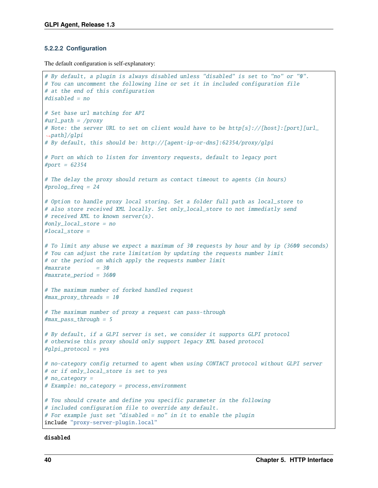### **5.2.2.2 Configuration**

The default configuration is self-explanatory:

```
# By default, a plugin is always disabled unless "disabled" is set to "no" or "0".
# You can uncomment the following line or set it in included configuration file
# at the end of this configuration
#disabled = no
# Set base url matching for API
#url path = /proxy
# Note: the server URL to set on client would have to be http[s]://[host]:[port][url_
\rightarrowpath]/glpi
# By default, this should be: http://[agent-ip-or-dns]:62354/proxy/glpi
# Port on which to listen for inventory requests, default to legacy port
#port = 62354# The delay the proxy should return as contact timeout to agents (in hours)
#prolog_freq = 24
# Option to handle proxy local storing. Set a folder full path as local_store to
# also store received XML locally. Set only_local_store to not immediatly send
# received XML to known server(s).
#only_local_store = no
#local_store =
# To limit any abuse we expect a maximum of 30 requests by hour and by ip (3600 seconds)
# You can adjust the rate limitation by updating the requests number limit
# or the period on which apply the requests number limit
#maxrate = 30
#maxrate_period = 3600
# The maximum number of forked handled request
#max_proxy_threads = 10
# The maximum number of proxy a request can pass-through
\#max_{ }pass_through = 5
# By default, if a GLPI server is set, we consider it supports GLPI protocol
# otherwise this proxy should only support legacy XML based protocol
#glpi_protocol = yes
# no-category config returned to agent when using CONTACT protocol without GLPI server
# or if only_local_store is set to yes
# no_category =
# Example: no_category = process,environment
# You should create and define you specific parameter in the following
# included configuration file to override any default.
# For example just set "disabled = no" in it to enable the plugin
include "proxy-server-plugin.local"
```
disabled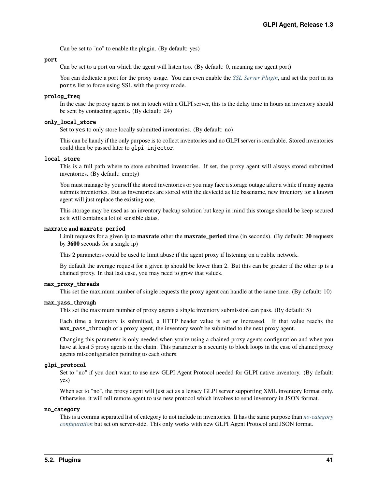Can be set to "no" to enable the plugin. (By default: yes)

#### port

Can be set to a port on which the agent will listen too. (By default: 0, meaning use agent port)

You can dedicate a port for the proxy usage. You can even enable the *[SSL Server Plugin](#page-43-1)*, and set the port in its ports list to force using SSL with the proxy mode.

### prolog\_freq

In the case the proxy agent is not in touch with a GLPI server, this is the delay time in hours an inventory should be sent by contacting agents. (By default: 24)

### only\_local\_store

Set to yes to only store locally submitted inventories. (By default: no)

This can be handy if the only purpose is to collect inventories and no GLPI server is reachable. Stored inventories could then be passed later to glpi-injector.

### local\_store

This is a full path where to store submitted inventories. If set, the proxy agent will always stored submitted inventories. (By default: empty)

You must manage by yourself the stored inventories or you may face a storage outage after a while if many agents submits inventories. But as inventories are stored with the deviceid as file basename, new inventory for a known agent will just replace the existing one.

This storage may be used as an inventory backup solution but keep in mind this storage should be keep secured as it will contains a lot of sensible datas.

#### maxrate **and** maxrate\_period

Limit requests for a given ip to **maxrate** other the **maxrate\_period** time (in seconds). (By default: **30** requests by **3600** seconds for a single ip)

This 2 parameters could be used to limit abuse if the agent proxy if listening on a public network.

By default the average request for a given ip should be lower than 2. But this can be greater if the other ip is a chained proxy. In that last case, you may need to grow that values.

### max\_proxy\_threads

This set the maximum number of single requests the proxy agent can handle at the same time. (By default: 10)

### <span id="page-46-0"></span>max\_pass\_through

This set the maximum number of proxy agents a single inventory submission can pass. (By default: 5)

Each time a inventory is submitted, a HTTP header value is set or increased. If that value reachs the max\_pass\_through of a proxy agent, the inventory won't be submitted to the next proxy agent.

Changing this parameter is only needed when you're using a chained proxy agents configuration and when you have at least 5 proxy agents in the chain. This parameter is a security to block loops in the case of chained proxy agents misconfiguration pointing to each others.

### glpi\_protocol

Set to "no" if you don't want to use new GLPI Agent Protocol needed for GLPI native inventory. (By default: yes)

When set to "no", the proxy agent will just act as a legacy GLPI server supporting XML inventory format only. Otherwise, it will tell remote agent to use new protocol which involves to send inventory in JSON format.

#### no\_category

This is a comma separated list of category to not include in inventories. It has the same purpose than *[no-category](#page-28-0) [configuration](#page-28-0)* but set on server-side. This only works with new GLPI Agent Protocol and JSON format.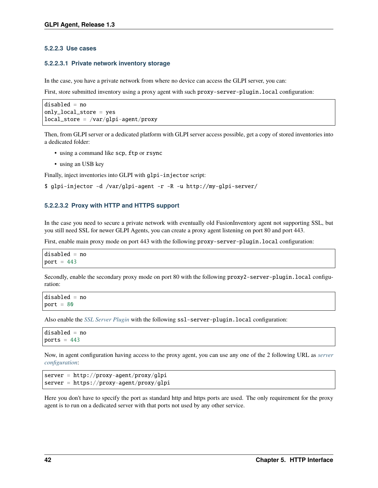### **5.2.2.3 Use cases**

### **5.2.2.3.1 Private network inventory storage**

In the case, you have a private network from where no device can access the GLPI server, you can:

First, store submitted inventory using a proxy agent with such proxy-server-plugin. local configuration:

```
disabled = no
only_local_store = yes
local\_store = /var/glpi-agent/proxy
```
Then, from GLPI server or a dedicated platform with GLPI server access possible, get a copy of stored inventories into a dedicated folder:

- using a command like scp, ftp or rsync
- using an USB key

Finally, inject inventories into GLPI with glpi-injector script:

```
$ glpi-injector -d /var/glpi-agent -r -R -u http://my-glpi-server/
```
### **5.2.2.3.2 Proxy with HTTP and HTTPS support**

In the case you need to secure a private network with eventually old FusionInventory agent not supporting SSL, but you still need SSL for newer GLPI Agents, you can create a proxy agent listening on port 80 and port 443.

First, enable main proxy mode on port 443 with the following proxy-server-plugin.local configuration:

```
disabled = no
port = 443
```
Secondly, enable the secondary proxy mode on port 80 with the following proxy2-server-plugin.local configuration:

```
disabled = no
port = 80
```
Also enable the *[SSL Server Plugin](#page-43-1)* with the following ssl-server-plugin.local configuration:

```
disabled = no
ports = 443
```
Now, in agent configuration having access to the proxy agent, you can use any one of the 2 following URL as *[server](#page-25-0) [configuration](#page-25-0)*:

```
server = http://proxy-agent/proxy/glpi
server = https://proxy-agent/proxy/glpi
```
Here you don't have to specify the port as standard http and https ports are used. The only requirement for the proxy agent is to run on a dedicated server with that ports not used by any other service.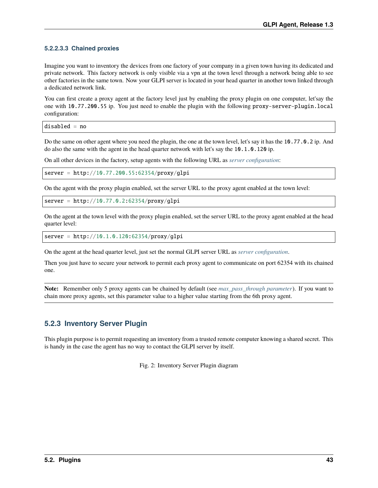### **5.2.2.3.3 Chained proxies**

Imagine you want to inventory the devices from one factory of your company in a given town having its dedicated and private network. This factory network is only visible via a vpn at the town level through a network being able to see other factories in the same town. Now your GLPI server is located in your head quarter in another town linked through a dedicated network link.

You can first create a proxy agent at the factory level just by enabling the proxy plugin on one computer, let'say the one with 10.77.200.55 ip. You just need to enable the plugin with the following proxy-server-plugin.local configuration:

disabled = no

Do the same on other agent where you need the plugin, the one at the town level, let's say it has the 10.77.0.2 ip. And do also the same with the agent in the head quarter network with let's say the 10.1.0.120 ip.

On all other devices in the factory, setup agents with the following URL as *[server configuration](#page-25-0)*:

server = http://10.77.200.55:62354/proxy/glpi

On the agent with the proxy plugin enabled, set the server URL to the proxy agent enabled at the town level:

 $server = http://10.77.0.2:62354/proxy/glpi$ 

On the agent at the town level with the proxy plugin enabled, set the server URL to the proxy agent enabled at the head quarter level:

```
server = http://10.1.0.120:62354/proxy/glpi
```
On the agent at the head quarter level, just set the normal GLPI server URL as *[server configuration](#page-25-0)*.

Then you just have to secure your network to permit each proxy agent to communicate on port 62354 with its chained one.

**Note:** Remember only 5 proxy agents can be chained by default (see *[max\\_pass\\_through parameter](#page-46-0)*). If you want to chain more proxy agents, set this parameter value to a higher value starting from the 6th proxy agent.

## **5.2.3 Inventory Server Plugin**

This plugin purpose is to permit requesting an inventory from a trusted remote computer knowing a shared secret. This is handy in the case the agent has no way to contact the GLPI server by itself.

Fig. 2: Inventory Server Plugin diagram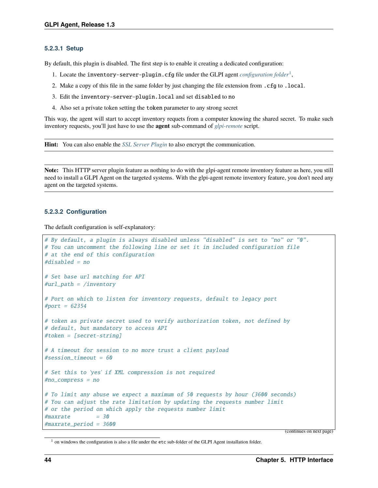### **5.2.3.1 Setup**

By default, this plugin is disabled. The first step is to enable it creating a dedicated configuration:

- 1. Locate the inventory-server-plugin.cfg file under the GLPI agent *[configuration folder](#page-24-0)*[1](#page-49-0) ,
- 2. Make a copy of this file in the same folder by just changing the file extension from .cfg to .local.
- 3. Edit the inventory-server-plugin.local and set disabled to no
- 4. Also set a private token setting the token parameter to any strong secret

This way, the agent will start to accept inventory requets from a computer knowing the shared secret. To make such inventory requests, you'll just have to use the **agent** sub-command of *[glpi-remote](#page-50-0)* script.

**Hint:** You can also enable the *[SSL Server Plugin](#page-43-1)* to also encrypt the communication.

**Note:** This HTTP server plugin feature as nothing to do with the glpi-agent remote inventory feature as here, you still need to install a GLPI Agent on the targeted systems. With the glpi-agent remote inventory feature, you don't need any agent on the targeted systems.

### **5.2.3.2 Configuration**

The default configuration is self-explanatory:

```
# By default, a plugin is always disabled unless "disabled" is set to "no" or "0".
# You can uncomment the following line or set it in included configuration file
# at the end of this configuration
#disabled = no
# Set base url matching for API
#url_path = /inventory
# Port on which to listen for inventory requests, default to legacy port
#port = 62354# token as private secret used to verify authorization token, not defined by
# default, but mandatory to access API
#token = [secret-string]
# A timeout for session to no more trust a client payload
#session_timeout = 60
# Set this to 'yes' if XML compression is not required
#no_compress = no
# To limit any abuse we expect a maximum of 50 requests by hour (3600 seconds)
# You can adjust the rate limitation by updating the requests number limit
# or the period on which apply the requests number limit
#maxrate = 30#maxrate_period = 3600
```
(continues on next page)

<span id="page-49-0"></span><sup>&</sup>lt;sup>1</sup> on windows the configuration is also a file under the etc sub-folder of the GLPI Agent installation folder.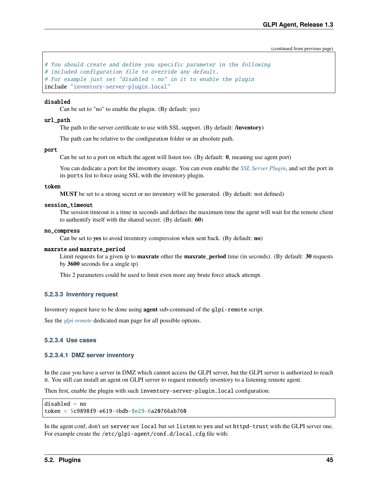(continued from previous page)

```
# You should create and define you specific parameter in the following
# included configuration file to override any default.
# For example just set "disabled = no" in it to enable the plugin
include "inventory-server-plugin.local"
```
### disabled

Can be set to "no" to enable the plugin. (By default: yes)

### url\_path

The path to the server certificate to use with SSL support. (By default: **/inventory**)

The path can be relative to the configuration folder or an absolute path.

### port

Can be set to a port on which the agent will listen too. (By default: **0**, meaning use agent port)

You can dedicate a port for the inventory usage. You can even enable the *[SSL Server Plugin](#page-43-1)*, and set the port in its ports list to force using SSL with the inventory plugin.

#### token

**MUST** be set to a strong secret or no inventory will be generated. (By default: not defined)

### session\_timeout

The session timeout is a time in seconds and defines the maximum time the agent will wait for the remote client to authentify itself with the shared secret. (By default: **60**)

### no\_compress

Can be set to **yes** to avoid inventory compression when sent back. (By default: **no**)

#### maxrate **and** maxrate\_period

Limit requests for a given ip to **maxrate** other the **maxrate\_period** time (in seconds). (By default: **30** requests by **3600** seconds for a single ip)

This 2 parameters could be used to limit even more any brute force attack attempt.

### <span id="page-50-0"></span>**5.2.3.3 Inventory request**

Inventory request have to be done using **agent** sub-command of the glpi-remote script.

See the *[glpi-remote](#page-76-0)* dedicated man page for all possible options.

### **5.2.3.4 Use cases**

### **5.2.3.4.1 DMZ server inventory**

In the case you have a server in DMZ which cannot access the GLPI server, but the GLPI server is authorized to reach it. You still can install an agent on GLPI server to request remotely inventory to a listening remote agent.

Then first, enable the plugin with such inventory-server-plugin.local configuration:

```
disabled = no
token = 5c9898f9-e619-4bdb-8e29-6a20766ab760
```
In the agent conf, don't set server nor local but set listen to yes and set httpd-trust with the GLPI server one. For example create the /etc/glpi-agent/conf.d/local.cfg file with: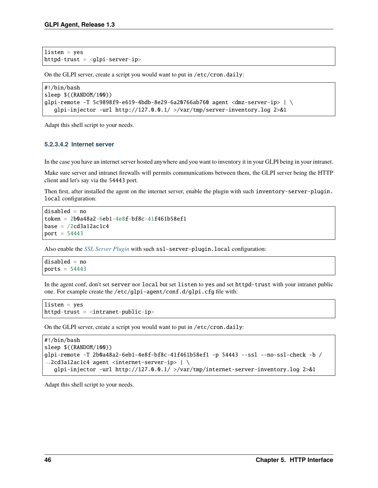```
listen = yeshttpd-trust = <glpi-server-ip>
```
On the GLPI server, create a script you would want to put in /etc/cron.daily:

```
#!/bin/bash
sleep $((RANDOM/100))
glpi-remote -T 5c9898f9-e619-4bdb-8e29-6a20766ab760 agent <dmz-server-ip> | \ \rangleglpi-injector -url http://127.0.0.1/ >/var/tmp/server-inventory.log 2>&1
```
Adapt this shell script to your needs.

### **5.2.3.4.2 Internet server**

In the case you have an internet server hosted anywhere and you want to inventory it in your GLPI being in your intranet.

Make sure server and intranet firewalls will permits communications between them, the GLPI server being the HTTP client and let's say via the 54443 port.

Then first, after installed the agent on the internet server, enable the plugin with such inventory-server-plugin. local configuration:

```
disabled = no
token = 2b0a48a2-6eb1-4e8f-bf8c-41f461b58ef1
base = /2cd3a12ac1c4port = 54443
```
Also enable the *[SSL Server Plugin](#page-43-1)* with such ssl-server-plugin.local configuration:

disabled = no ports =  $54443$ 

In the agent conf, don't set server nor local but set listen to yes and set httpd-trust with your intranet public one. For example create the /etc/glpi-agent/conf.d/glpi.cfg file with:

```
listen = yes
httpd-trust = <intranet-public-ip>
```
On the GLPI server, create a script you would want to put in /etc/cron.daily:

```
#!/bin/bash
sleep $((RANDOM/100))
glpi-remote -T 2b0a48a2-6eb1-4e8f-bf8c-41f461b58ef1 -p 54443 --ssl --no-ssl-check -b /
˓→2cd3a12ac1c4 agent <internet-server-ip> | \
   glpi-injector -url http://127.0.0.1/ >/var/tmp/internet-server-inventory.log 2>&1
```
Adapt this shell script to your needs.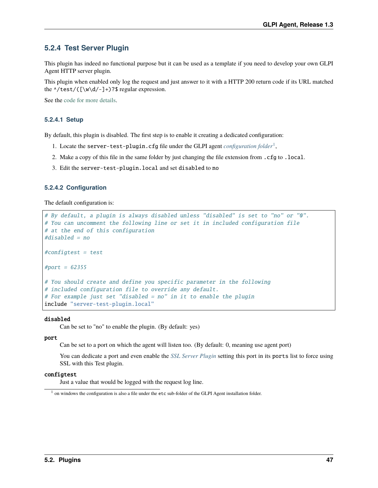## **5.2.4 Test Server Plugin**

This plugin has indeed no functional purpose but it can be used as a template if you need to develop your own GLPI Agent HTTP server plugin.

This plugin when enabled only log the request and just answer to it with a HTTP 200 return code if its URL matched the  $\lambda / \text{test}/(\lceil \wedge \text{d}/- \rceil + )$ ?\$ regular expression.

See the [code for more details.](https://github.com/glpi-project/glpi-agent/blob/develop/lib/FusionInventory/Agent/HTTP/Server/Test.pm)

### **5.2.4.1 Setup**

By default, this plugin is disabled. The first step is to enable it creating a dedicated configuration:

- 1. Locate the server-test-plugin.cfg file under the GLPI agent *[configuration folder](#page-24-0)*[1](#page-52-0) ,
- 2. Make a copy of this file in the same folder by just changing the file extension from .cfg to .local.
- 3. Edit the server-test-plugin.local and set disabled to no

### **5.2.4.2 Configuration**

The default configuration is:

```
# By default, a plugin is always disabled unless "disabled" is set to "no" or "0".
# You can uncomment the following line or set it in included configuration file
# at the end of this configuration
#disabled = no
#configtest = test
#port = 62355# You should create and define you specific parameter in the following
# included configuration file to override any default.
# For example just set "disabled = no" in it to enable the plugin
include "server-test-plugin.local"
```
### disabled

Can be set to "no" to enable the plugin. (By default: yes)

### port

Can be set to a port on which the agent will listen too. (By default: 0, meaning use agent port)

You can dedicate a port and even enable the *[SSL Server Plugin](#page-43-1)* setting this port in its ports list to force using SSL with this Test plugin.

### confiatest

Just a value that would be logged with the request log line.

<span id="page-52-0"></span><sup>&</sup>lt;sup>1</sup> on windows the configuration is also a file under the etc sub-folder of the GLPI Agent installation folder.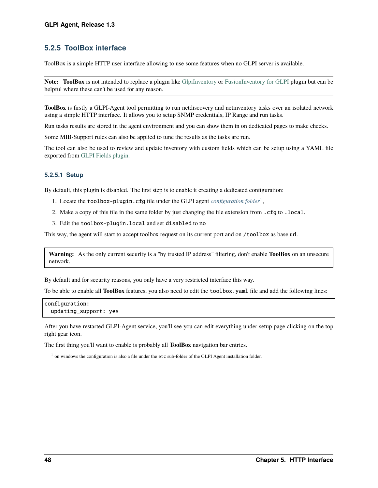## **5.2.5 ToolBox interface**

ToolBox is a simple HTTP user interface allowing to use some features when no GLPI server is available.

**Note: ToolBox** is not intended to replace a plugin like [GlpiInventory](https://github.com/glpi-project/glpi-inventory-plugin/) or [FusionInventory for GLPI](https://github.com/fusioninventory/fusioninventory-for-glpi) plugin but can be helpful where these can't be used for any reason.

**ToolBox** is firstly a GLPI-Agent tool permitting to run netdiscovery and netinventory tasks over an isolated network using a simple HTTP interface. It allows you to setup SNMP credentials, IP Range and run tasks.

Run tasks results are stored in the agent environment and you can show them in on dedicated pages to make checks.

Some MIB-Support rules can also be applied to tune the results as the tasks are run.

The tool can also be used to review and update inventory with custom fields which can be setup using a YAML file exported from [GLPI Fields plugin.](https://github.com/pluginsGLPI/fields)

### **5.2.5.1 Setup**

By default, this plugin is disabled. The first step is to enable it creating a dedicated configuration:

- 1. Locate the toolbox-plugin.cfg file under the GLPI agent *[configuration folder](#page-24-0)*[1](#page-53-0) ,
- 2. Make a copy of this file in the same folder by just changing the file extension from .cfg to .local.
- 3. Edit the toolbox-plugin.local and set disabled to no

This way, the agent will start to accept toolbox request on its current port and on /toolbox as base url.

**Warning:** As the only current security is a "by trusted IP address" filtering, don't enable **ToolBox** on an unsecure network.

By default and for security reasons, you only have a very restricted interface this way.

To be able to enable all **ToolBox** features, you also need to edit the toolbox.yaml file and add the following lines:

```
configuration:
 updating_support: yes
```
After you have restarted GLPI-Agent service, you'll see you can edit everything under setup page clicking on the top right gear icon.

The first thing you'll want to enable is probably all **ToolBox** navigation bar entries.

<span id="page-53-0"></span><sup>&</sup>lt;sup>1</sup> on windows the configuration is also a file under the etc sub-folder of the GLPI Agent installation folder.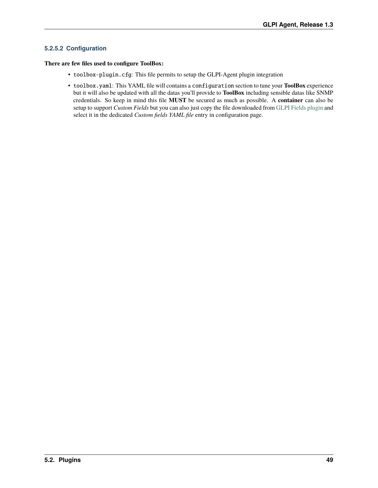### **5.2.5.2 Configuration**

### **There are few files used to configure ToolBox:**

- toolbox-plugin.cfg: This file permits to setup the GLPI-Agent plugin integration
- toolbox.yaml: This YAML file will contains a configuration section to tune your **ToolBox** experience but it will also be updated with all the datas you'll provide to **ToolBox** including sensible datas like SNMP credentials. So keep in mind this file **MUST** be secured as much as possible. A **container** can also be setup to support *Custom Fields* but you can also just copy the file downloaded from [GLPI Fields plugin](https://github.com/pluginsGLPI/fields) and select it in the dedicated *Custom fields YAML file* entry in configuration page.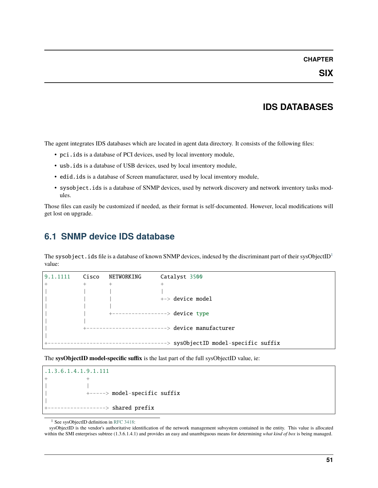### **CHAPTER**

# **IDS DATABASES**

The agent integrates IDS databases which are located in agent data directory. It consists of the following files:

- pci.ids is a database of PCI devices, used by local inventory module,
- usb.ids is a database of USB devices, used by local inventory module,
- edid.ids is a database of Screen manufacturer, used by local inventory module,
- sysobject.ids is a database of SNMP devices, used by network discovery and network inventory tasks modules.

Those files can easily be customized if needed, as their format is self-documented. However, local modifications will get lost on upgrade.

# <span id="page-56-0"></span>**6.1 SNMP device IDS database**

The sysobject. ids file is a database of known SNMP devices, indexed by the discriminant part of their sysObjectID<sup>[1](#page-56-1)</sup> value:

|       | Cisco | NETWORKING | Catalyst 3500                             |
|-------|-------|------------|-------------------------------------------|
| $\pm$ | $+$   | $+$        | $\ddot{}$                                 |
|       |       |            |                                           |
|       |       |            | $\leftarrow$ device model                 |
|       |       |            |                                           |
|       |       |            | +-----------------> device type           |
|       |       |            |                                           |
|       |       |            | --------------------> device manufacturer |
|       |       |            |                                           |
|       |       |            | --> sysObjectID model-specific suffix     |

The **sysObjectID model-specific suffix** is the last part of the full sysObjectID value, ie:

```
.1.3.6.1.4.1.9.1.111
+ +
| |
          | +-----> model-specific suffix
|
         ------> shared prefix
```
<sup>1</sup> See sysObjectID definition in [RFC 3418:](https://www.rfc-editor.org/rfc/rfc3418.html)

<span id="page-56-1"></span>sysObjectID is the vendor's authoritative identification of the network management subsystem contained in the entity. This value is allocated within the SMI enterprises subtree (1.3.6.1.4.1) and provides an easy and unambiguous means for determining *what kind of box* is being managed.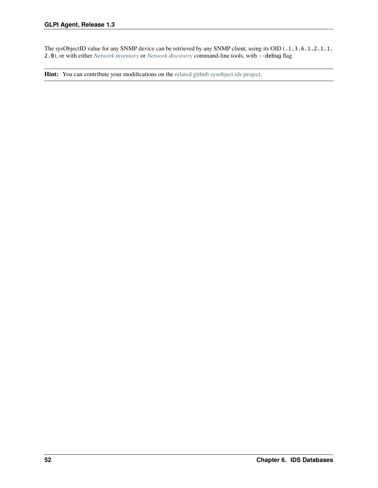The sysObjectID value for any SNMP device can be retrieved by any SNMP client, using its OID (.1.3.6.1.2.1.1. 2.0), or with either *[Network inventory](#page-41-0)* or *[Network discovery](#page-38-1)* command-line tools, with --debug flag.

Hint: You can contribute your modifications on the [related github sysobject.ids project.](https://github.com/glpi-project/sysobject.ids/)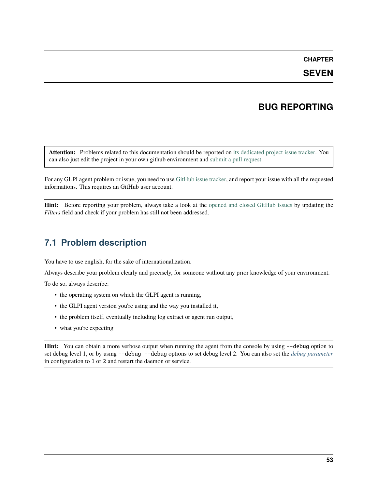## **CHAPTER**

## **SEVEN**

## **BUG REPORTING**

**Attention:** Problems related to this documentation should be reported on [its dedicated project issue tracker.](https://github.com/glpi-project/doc-agent/issues) You can also just edit the project in your own github environment and [submit a pull request.](https://github.com/glpi-project/doc-agent/pulls)

For any GLPI agent problem or issue, you need to use [GitHub issue tracker,](https://github.com/glpi-project/glpi-agent/issues) and report your issue with all the requested informations. This requires an GitHub user account.

**Hint:** Before reporting your problem, always take a look at the [opened and closed GitHub issues](https://github.com/glpi-project/glpi-agent/issues?q=is%3Aissue+is%3Aopen+is%3Aclosed) by updating the *Filters* field and check if your problem has still not been addressed.

## **7.1 Problem description**

You have to use english, for the sake of internationalization.

Always describe your problem clearly and precisely, for someone without any prior knowledge of your environment.

To do so, always describe:

- the operating system on which the GLPI agent is running,
- the GLPI agent version you're using and the way you installed it,
- the problem itself, eventually including log extract or agent run output,
- what you're expecting

**Hint:** You can obtain a more verbose output when running the agent from the console by using --debug option to set debug level 1, or by using --debug --debug options to set debug level 2. You can also set the *[debug parameter](#page-28-1)* in configuration to 1 or 2 and restart the daemon or service.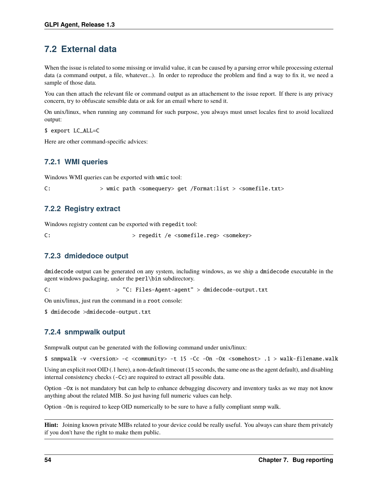# **7.2 External data**

When the issue is related to some missing or invalid value, it can be caused by a parsing error while processing external data (a command output, a file, whatever...). In order to reproduce the problem and find a way to fix it, we need a sample of those data.

You can then attach the relevant file or command output as an attachement to the issue report. If there is any privacy concern, try to obfuscate sensible data or ask for an email where to send it.

On unix/linux, when running any command for such purpose, you always must unset locales first to avoid localized output:

\$ export LC\_ALL=C

Here are other command-specific advices:

## **7.2.1 WMI queries**

Windows WMI queries can be exported with wmic tool:

C: > wmic path <somequery> get /Format:list > <somefile.txt>

## **7.2.2 Registry extract**

Windows registry content can be exported with regedit tool:

C: > regedit /e <somefile.reg> <somekey>

## **7.2.3 dmidedoce output**

dmidecode output can be generated on any system, including windows, as we ship a dmidecode executable in the agent windows packaging, under the perl\bin subdirectory.

C: > "C: Files-Agent-agent" > dmidecode-output.txt

On unix/linux, just run the command in a root console:

\$ dmidecode >dmidecode-output.txt

## **7.2.4 snmpwalk output**

Snmpwalk output can be generated with the following command under unix/linux:

\$ snmpwalk -v <version> -c <community> -t 15 -Cc -On -Ox <somehost> .1 > walk-filename.walk

Using an explicit root OID (.1 here), a non-default timeout (15 seconds, the same one as the agent default), and disabling internal consistency checks (-Cc) are required to extract all possible data.

Option -Ox is not mandatory but can help to enhance debugging discovery and inventory tasks as we may not know anything about the related MIB. So just having full numeric values can help.

Option -On is required to keep OID numerically to be sure to have a fully compliant snmp walk.

**Hint:** Joining known private MIBs related to your device could be really useful. You always can share them privately if you don't have the right to make them public.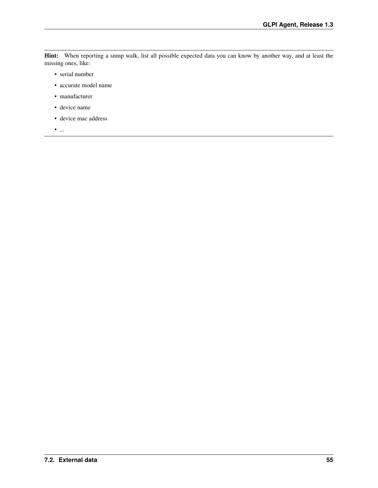**Hint:** When reporting a snmp walk, list all possible expected data you can know by another way, and at least the missing ones, like:

- serial number
- accurate model name
- manufacturer
- device name
- device mac address

 $\bullet$   $\ldots$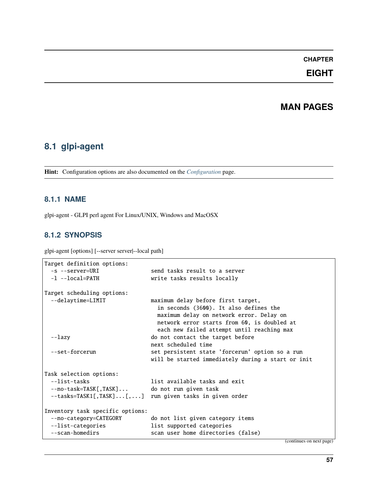## **CHAPTER**

## **EIGHT**

## **MAN PAGES**

## **8.1 glpi-agent**

**Hint:** Configuration options are also documented on the *[Configuration](#page-24-1)* page.

## **8.1.1 NAME**

glpi-agent - GLPI perl agent For Linux/UNIX, Windows and MacOSX

## **8.1.2 SYNOPSIS**

glpi-agent [options] [--server server|--local path]

```
Target definition options:
 -s --server=URI send tasks result to a server
 -1 --local=PATH write tasks results locally
Target scheduling options:
 --delaytime=LIMIT maximum delay before first target,
                              in seconds (3600). It also defines the
                              maximum delay on network error. Delay on
                              network error starts from 60, is doubled at
                              each new failed attempt until reaching max
 --lazy do not contact the target before
                            next scheduled time
 --set-forcerun set persistent state 'forcerun' option so a run
                            will be started immediately during a start or init
Task selection options:
 --list-tasks and exit list available tasks and exit
 --no-task=TASK[,TASK]... do not run given task
 --tasks=TASK1[,TASK]...[,...] run given tasks in given order
Inventory task specific options:
 --no-category=CATEGORY do not list given category items
 --list-categories list supported categories
 --scan-homedirs scan user home directories (false)
```
(continues on next page)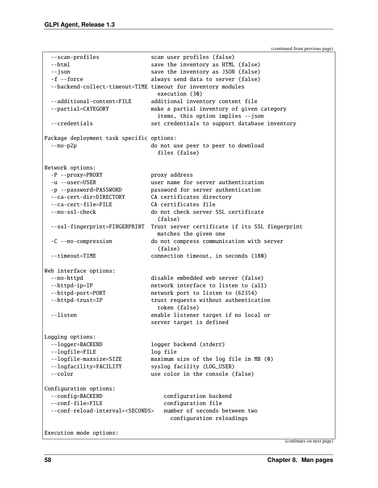(continued from previous page)

```
--scan-profiles scan user profiles (false)
 --html save the inventory as HTML (false)
 --json save the inventory as JSON (false)
 -f --force always send data to server (false)
 --backend-collect-timeout=TIME timeout for inventory modules
                             execution (30)
 --additional-content=FILE additional inventory content file
 --partial=CATEGORY make a partial inventory of given category
                             items, this option implies --json
 --credentials \qquad \qquad set credentials to support database inventory
Package deployment task specific options:
 --no-p2p do not use peer to peer to download
                             files (false)
Network options:
 -P --proxy=PROXY proxy address
 -u --user=USER user name for server authentication
 -p --password=PASSWORD password for server authentication
 --ca-cert-dir=DIRECTORY CA certificates directory
 --ca-cert-file=FILE CA certificates file
 --no-ssl-check do not check server SSL certificate
                             (false)
 --ssl-fingerprint=FINGERPRINT Trust server certificate if its SSL fingerprint
                            matches the given one
 -C --no-compression do not compress communication with server
                             (false)
 --timeout=TIME connection timeout, in seconds (180)
Web interface options:
 --no-httpd disable embedded web server (false)
 --httpd-ip=IP 11.1 network interface to listen to (all)
 --httpd-port=PORT network port to listen to (62354)
 --httpd-trust=IP trust requests without authentication
                             token (false)
 --listen enable listener target if no local or
                           server target is defined
Logging options:
 --logger=BACKEND logger backend (stderr)
 --logfile=FILE log file
 --logfile-maxsize=SIZE maximum size of the log file in MB (0)
 --logfacility=FACILITY syslog facility (LOG_USER)
 --color use color in the console (false)
Configuration options:
 --config=BACKEND configuration backend
 --conf-file=FILE configuration file
 --conf-reload-interval=<SECONDS> number of seconds between two
                                configuration reloadings
```
Execution mode options:

(continues on next page)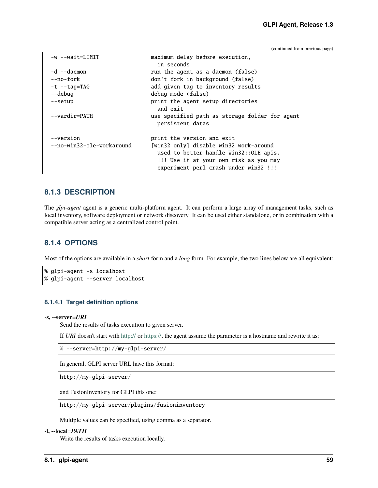(continued from previous page)

```
-w --wait=LIMIT maximum delay before execution,
                          in seconds
-d --daemon run the agent as a daemon (false)
--no-fork don't fork in background (false)
-t --tag=TAG add given tag to inventory results
--debug debug mode (false)
--setup print the agent setup directories
                          and exit
--vardir=PATH use specified path as storage folder for agent
                          persistent datas
--version print the version and exit
--no-win32-ole-workaround [win32 only] disable win32 work-around
                          used to better handle Win32::OLE apis.
                          !!! Use it at your own risk as you may
                          experiment perl crash under win32 !!!
```
### **8.1.3 DESCRIPTION**

The *glpi-agent* agent is a generic multi-platform agent. It can perform a large array of management tasks, such as local inventory, software deployment or network discovery. It can be used either standalone, or in combination with a compatible server acting as a centralized control point.

### **8.1.4 OPTIONS**

Most of the options are available in a *short* form and a *long* form. For example, the two lines below are all equivalent:

```
% glpi-agent -s localhost
% glpi-agent --server localhost
```
### **8.1.4.1 Target definition options**

#### **-s, --server=***URI*

Send the results of tasks execution to given server.

If *URI* doesn't start with <http://> or [https://,](https://) the agent assume the parameter is a hostname and rewrite it as:

% --server=http://my-glpi-server/

In general, GLPI server URL have this format:

http://my-glpi-server/

and FusionInventory for GLPI this one:

http://my-glpi-server/plugins/fusioninventory

Multiple values can be specified, using comma as a separator.

### **-l, --local=***PATH*

Write the results of tasks execution locally.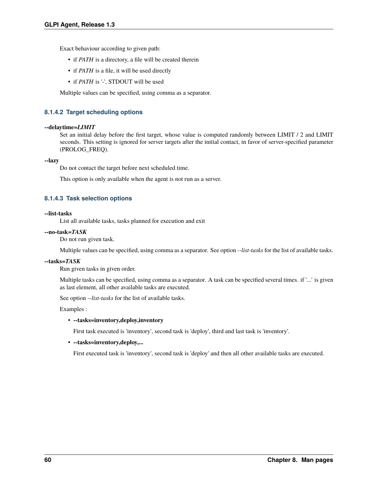Exact behaviour according to given path:

- if *PATH* is a directory, a file will be created therein
- if *PATH* is a file, it will be used directly
- if *PATH* is '-', STDOUT will be used

Multiple values can be specified, using comma as a separator.

### **8.1.4.2 Target scheduling options**

### **--delaytime=***LIMIT*

Set an initial delay before the first target, whose value is computed randomly between LIMIT / 2 and LIMIT seconds. This setting is ignored for server targets after the initial contact, in favor of server-specified parameter (PROLOG\_FREQ).

### **--lazy**

Do not contact the target before next scheduled time.

This option is only available when the agent is not run as a server.

### **8.1.4.3 Task selection options**

### **--list-tasks**

List all available tasks, tasks planned for execution and exit

### **--no-task=***TASK*

Do not run given task.

Multiple values can be specified, using comma as a separator. See option *--list-tasks* for the list of available tasks.

### **--tasks=***TASK*

Run given tasks in given order.

Multiple tasks can be specified, using comma as a separator. A task can be specified several times. if '...' is given as last element, all other available tasks are executed.

See option *--list-tasks* for the list of available tasks.

Examples :

### • **--tasks=inventory,deploy,inventory**

First task executed is 'inventory', second task is 'deploy', third and last task is 'inventory'.

### • **--tasks=inventory,deploy,...**

First executed task is 'inventory', second task is 'deploy' and then all other available tasks are executed.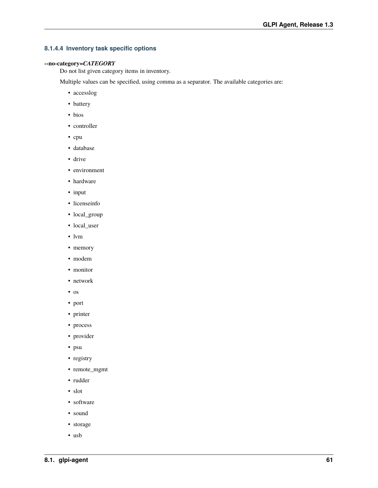### **8.1.4.4 Inventory task specific options**

### **--no-category=***CATEGORY*

Do not list given category items in inventory.

Multiple values can be specified, using comma as a separator. The available categories are:

- accesslog
- battery
- bios
- controller
- cpu
- database
- drive
- environment
- hardware
- input
- licenseinfo
- local\_group
- local\_user
- lvm
- memory
- modem
- monitor
- network
- os
- port
- printer
- process
- provider
- psu
- registry
- remote\_mgmt
- rudder
- slot
- software
- sound
- storage
- usb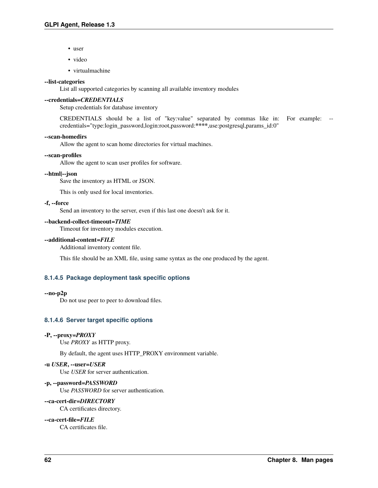- user
- video
- virtualmachine

### **--list-categories**

List all supported categories by scanning all available inventory modules

### **--credentials=***CREDENTIALS*

Setup credentials for database inventory

CREDENTIALS should be a list of "key:value" separated by commas like in: For example: - credentials="type:login\_password,login:root,password:**\*\*\*\***,use:postgresql,params\_id:0"

### **--scan-homedirs**

Allow the agent to scan home directories for virtual machines.

### **--scan-profiles**

Allow the agent to scan user profiles for software.

### **--html|--json**

Save the inventory as HTML or JSON.

This is only used for local inventories.

### **-f, --force**

Send an inventory to the server, even if this last one doesn't ask for it.

### **--backend-collect-timeout=***TIME*

Timeout for inventory modules execution.

### **--additional-content=***FILE*

Additional inventory content file.

This file should be an XML file, using same syntax as the one produced by the agent.

### **8.1.4.5 Package deployment task specific options**

### **--no-p2p**

Do not use peer to peer to download files.

### **8.1.4.6 Server target specific options**

### **-P, --proxy=***PROXY*

Use *PROXY* as HTTP proxy.

By default, the agent uses HTTP\_PROXY environment variable.

### **-u** *USER***, --user=***USER*

Use *USER* for server authentication.

### **-p, --password=***PASSWORD*

Use *PASSWORD* for server authentication.

### **--ca-cert-dir=***DIRECTORY*

CA certificates directory.

### **--ca-cert-file=***FILE*

CA certificates file.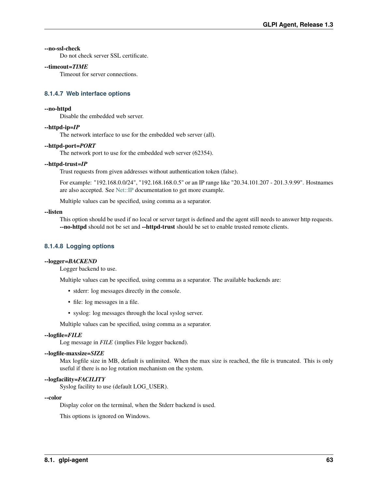### **--no-ssl-check**

Do not check server SSL certificate.

### **--timeout=***TIME*

Timeout for server connections.

### **8.1.4.7 Web interface options**

### **--no-httpd**

Disable the embedded web server.

### **--httpd-ip=***IP*

The network interface to use for the embedded web server (all).

### **--httpd-port=***PORT*

The network port to use for the embedded web server (62354).

### **--httpd-trust=***IP*

Trust requests from given addresses without authentication token (false).

For example: "192.168.0.0/24", "192.168.168.0.5" or an IP range like "20.34.101.207 - 201.3.9.99". Hostnames are also accepted. See [Net::IP](https://metacpan.org/pod/Net%3A%3AIP) documentation to get more example.

Multiple values can be specified, using comma as a separator.

### **--listen**

This option should be used if no local or server target is defined and the agent still needs to answer http requests. **--no-httpd** should not be set and **--httpd-trust** should be set to enable trusted remote clients.

### **8.1.4.8 Logging options**

### **--logger=***BACKEND*

Logger backend to use.

Multiple values can be specified, using comma as a separator. The available backends are:

- stderr: log messages directly in the console.
- file: log messages in a file.
- syslog: log messages through the local syslog server.

Multiple values can be specified, using comma as a separator.

### **--logfile=***FILE*

Log message in *FILE* (implies File logger backend).

### **--logfile-maxsize=***SIZE*

Max logfile size in MB, default is unlimited. When the max size is reached, the file is truncated. This is only useful if there is no log rotation mechanism on the system.

### **--logfacility=***FACILITY*

Syslog facility to use (default LOG\_USER).

### **--color**

Display color on the terminal, when the Stderr backend is used.

This options is ignored on Windows.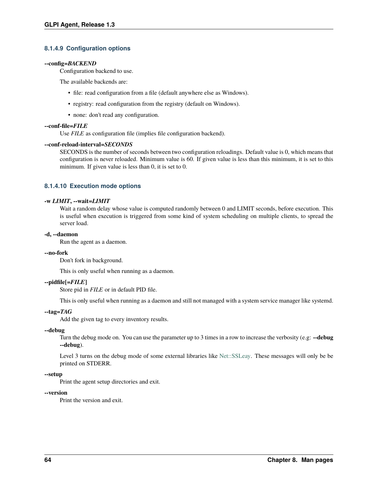### **8.1.4.9 Configuration options**

### **--config=***BACKEND*

Configuration backend to use.

The available backends are:

- file: read configuration from a file (default anywhere else as Windows).
- registry: read configuration from the registry (default on Windows).
- none: don't read any configuration.

### **--conf-file=***FILE*

Use *FILE* as configuration file (implies file configuration backend).

### **--conf-reload-interval=***SECONDS*

SECONDS is the number of seconds between two configuration reloadings. Default value is 0, which means that configuration is never reloaded. Minimum value is 60. If given value is less than this minimum, it is set to this minimum. If given value is less than 0, it is set to 0.

### **8.1.4.10 Execution mode options**

### **-w** *LIMIT***, --wait=***LIMIT*

Wait a random delay whose value is computed randomly between 0 and LIMIT seconds, before execution. This is useful when execution is triggered from some kind of system scheduling on multiple clients, to spread the server load.

### **-d, --daemon**

Run the agent as a daemon.

### **--no-fork**

Don't fork in background.

This is only useful when running as a daemon.

### **--pidfile[=***FILE***]**

Store pid in *FILE* or in default PID file.

This is only useful when running as a daemon and still not managed with a system service manager like systemd.

### **--tag=***TAG*

Add the given tag to every inventory results.

### **--debug**

Turn the debug mode on. You can use the parameter up to 3 times in a row to increase the verbosity (e.g: **--debug --debug**).

Level 3 turns on the debug mode of some external libraries like [Net::SSLeay.](https://metacpan.org/pod/Net%3A%3ASSLeay) These messages will only be be printed on STDERR.

### **--setup**

Print the agent setup directories and exit.

### **--version**

Print the version and exit.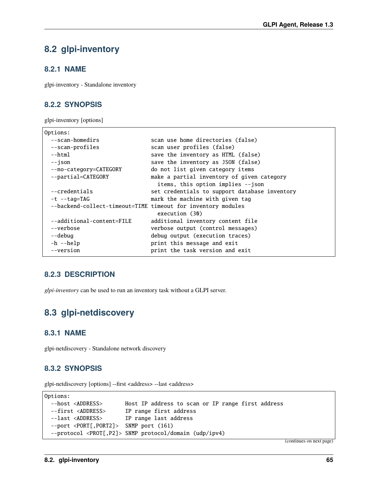## **8.2 glpi-inventory**

## **8.2.1 NAME**

glpi-inventory - Standalone inventory

## **8.2.2 SYNOPSIS**

glpi-inventory [options]

```
Options:
 --scan-homedirs scan use home directories (false)
 --scan-profiles scan user profiles (false)
 --html save the inventory as HTML (false)
 --json save the inventory as JSON (false)
 --no-category=CATEGORY do not list given category items
 --partial=CATEGORY make a partial inventory of given category
                           items, this option implies --json
 --credentials set credentials to support database inventory
 -t --tag=TAG mark the machine with given tag
 --backend-collect-timeout=TIME timeout for inventory modules
                           execution (30)
 --additional-content=FILE additional inventory content file
 --verbose verbose output (control messages)
 --debug debug output (execution traces)
 -h --help print this message and exit
 --version print the task version and exit
```
## **8.2.3 DESCRIPTION**

*glpi-inventory* can be used to run an inventory task without a GLPI server.

# **8.3 glpi-netdiscovery**

## **8.3.1 NAME**

glpi-netdiscovery - Standalone network discovery

## **8.3.2 SYNOPSIS**

glpi-netdiscovery [options] --first <address> --last <address>

```
Options:
 --host <ADDRESS> Host IP address to scan or IP range first address
 --first <ADDRESS> IP range first address
 --last <ADDRESS> IP range last address
 --port <PORT[,PORT2]> SNMP port (161)
 --protocol <PROT[,P2]> SNMP protocol/domain (udp/ipv4)
```
(continues on next page)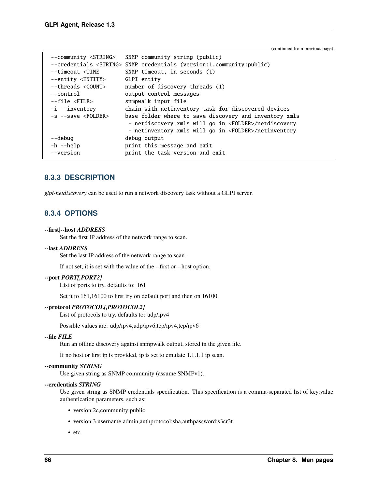(continued from previous page)

| --community <string></string>                                        | SNMP community string (public)                                                |
|----------------------------------------------------------------------|-------------------------------------------------------------------------------|
|                                                                      | --credentials <string> SNMP credentials (version:1,community:public)</string> |
| --timeout <time< td=""><td>SNMP timeout, in seconds (1)</td></time<> | SNMP timeout, in seconds (1)                                                  |
| --entity <entity></entity>                                           | GLPI entity                                                                   |
| --threads <count></count>                                            | number of discovery threads (1)                                               |
| --control                                                            | output control messages                                                       |
| --file <file></file>                                                 | snmpwalk input file                                                           |
| -i --inventory                                                       | chain with netinventory task for discovered devices                           |
| $-s$ --save $\langle \text{FOLDER}\rangle$                           | base folder where to save discovery and inventory xmls                        |
|                                                                      | - netdiscovery xmls will go in <folder>/netdiscovery</folder>                 |
|                                                                      | - netinventory xmls will go in <folder>/netinventory</folder>                 |
| --debug                                                              | debug output                                                                  |
| -h --help                                                            | print this message and exit                                                   |
| --version                                                            | print the task version and exit                                               |

## **8.3.3 DESCRIPTION**

*glpi-netdiscovery* can be used to run a network discovery task without a GLPI server.

## **8.3.4 OPTIONS**

### **--first|--host** *ADDRESS*

Set the first IP address of the network range to scan.

#### **--last** *ADDRESS*

Set the last IP address of the network range to scan.

If not set, it is set with the value of the --first or --host option.

### **--port** *PORT[,PORT2]*

List of ports to try, defaults to: 161

Set it to 161,16100 to first try on default port and then on 16100.

### **--protocol** *PROTOCOL[,PROTOCOL2]*

List of protocols to try, defaults to: udp/ipv4

Possible values are: udp/ipv4,udp/ipv6,tcp/ipv4,tcp/ipv6

### **--file** *FILE*

Run an offline discovery against snmpwalk output, stored in the given file.

If no host or first ip is provided, ip is set to emulate 1.1.1.1 ip scan.

### **--community** *STRING*

Use given string as SNMP community (assume SNMPv1).

### **--credentials** *STRING*

Use given string as SNMP credentials specification. This specification is a comma-separated list of key:value authentication parameters, such as:

- version:2c,community:public
- version:3,username:admin,authprotocol:sha,authpassword:s3cr3t
- etc.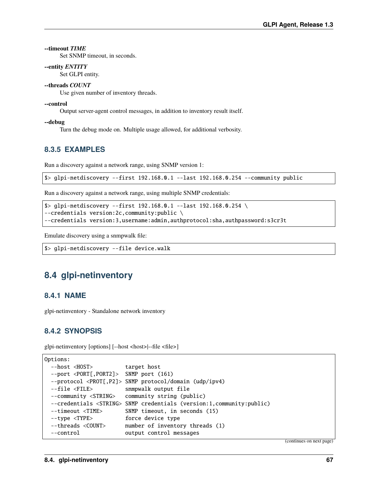### **--timeout** *TIME*

Set SNMP timeout, in seconds.

#### **--entity** *ENTITY*

Set GLPI entity.

## **--threads** *COUNT*

Use given number of inventory threads.

#### **--control**

Output server-agent control messages, in addition to inventory result itself.

#### **--debug**

Turn the debug mode on. Multiple usage allowed, for additional verbosity.

# **8.3.5 EXAMPLES**

Run a discovery against a network range, using SNMP version 1:

\$> glpi-netdiscovery --first 192.168.0.1 --last 192.168.0.254 --community public

Run a discovery against a network range, using multiple SNMP credentials:

```
\pmb{\Rightarrow} glpi-netdiscovery --first 192.168.0.1 --last 192.168.0.254 \
--credentials version:2c,community:public \
--credentials version:3,username:admin,authprotocol:sha,authpassword:s3cr3t
```
Emulate discovery using a snmpwalk file:

```
$> glpi-netdiscovery --file device.walk
```
# **8.4 glpi-netinventory**

## **8.4.1 NAME**

glpi-netinventory - Standalone network inventory

# **8.4.2 SYNOPSIS**

glpi-netinventory [options] [--host <host>|--file <file>]

```
Options:
 --host <HOST> target host
 --port <PORT[,PORT2]> SNMP port (161)
 --protocol <PROT[,P2]> SNMP protocol/domain (udp/ipv4)
 --file <FILE> snmpwalk output file
 --community <STRING> community string (public)
 --credentials <STRING> SNMP credentials (version:1,community:public)
 --timeout <TIME> SNMP timeout, in seconds (15)
 --type <TYPE> force device type
 --threads <COUNT> number of inventory threads (1)
 --control output control messages
```
(continues on next page)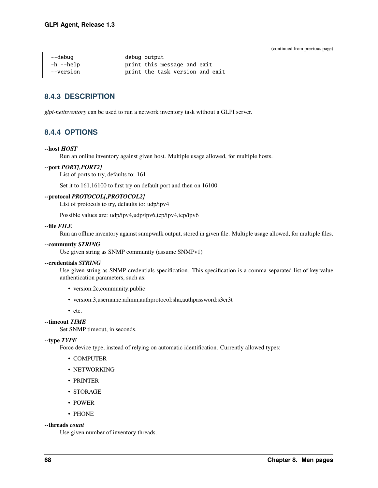| --debug   | debug output                    |
|-----------|---------------------------------|
| -h --help | print this message and exit     |
| --version | print the task version and exit |

# **8.4.3 DESCRIPTION**

*glpi-netinventory* can be used to run a network inventory task without a GLPI server.

# **8.4.4 OPTIONS**

### **--host** *HOST*

Run an online inventory against given host. Multiple usage allowed, for multiple hosts.

### **--port** *PORT[,PORT2]*

List of ports to try, defaults to: 161

Set it to 161,16100 to first try on default port and then on 16100.

### **--protocol** *PROTOCOL[,PROTOCOL2]*

List of protocols to try, defaults to: udp/ipv4

Possible values are: udp/ipv4,udp/ipv6,tcp/ipv4,tcp/ipv6

#### **--file** *FILE*

Run an offline inventory against snmpwalk output, stored in given file. Multiple usage allowed, for multiple files.

#### **--communty** *STRING*

Use given string as SNMP community (assume SNMPv1)

#### **--credentials** *STRING*

Use given string as SNMP credentials specification. This specification is a comma-separated list of key:value authentication parameters, such as:

- version:2c,community:public
- version:3,username:admin,authprotocol:sha,authpassword:s3cr3t
- etc.

## **--timeout** *TIME*

Set SNMP timeout, in seconds.

#### **--type** *TYPE*

Force device type, instead of relying on automatic identification. Currently allowed types:

- COMPUTER
- NETWORKING
- PRINTER
- STORAGE
- POWER
- PHONE

#### **--threads** *count*

Use given number of inventory threads.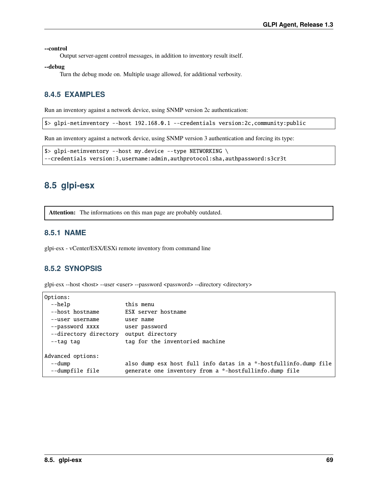**--control**

Output server-agent control messages, in addition to inventory result itself.

**--debug**

Turn the debug mode on. Multiple usage allowed, for additional verbosity.

# **8.4.5 EXAMPLES**

Run an inventory against a network device, using SNMP version 2c authentication:

\$> glpi-netinventory --host 192.168.0.1 --credentials version:2c,community:public

Run an inventory against a network device, using SNMP version 3 authentication and forcing its type:

```
$> glpi-netinventory --host my.device --type NETWORKING \
--credentials version:3,username:admin,authprotocol:sha,authpassword:s3cr3t
```
# **8.5 glpi-esx**

**Attention:** The informations on this man page are probably outdated.

## **8.5.1 NAME**

glpi-esx - vCenter/ESX/ESXi remote inventory from command line

# **8.5.2 SYNOPSIS**

glpi-esx --host <host> --user <user> --password <password> --directory <directory>

| Options:              |                                                                  |
|-----------------------|------------------------------------------------------------------|
| --help                | this menu                                                        |
| --host hostname       | ESX server hostname                                              |
| --user username       | user name                                                        |
| --password xxxx       | user password                                                    |
| --directory directory | output directory                                                 |
| --tag tag             | tag for the inventoried machine                                  |
| Advanced options:     |                                                                  |
| --dump                | also dump esx host full info datas in a *-hostfullinfo.dump file |
| --dumpfile file       | generate one inventory from a *-hostfullinfo.dump file           |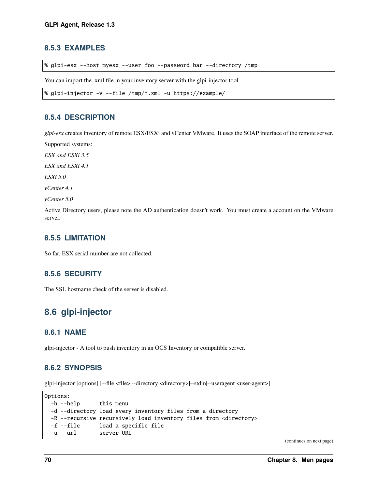# **8.5.3 EXAMPLES**

% glpi-esx --host myesx --user foo --password bar --directory /tmp

You can import the .xml file in your inventory server with the glpi-injector tool.

```
% glpi-injector -v --file /tmp/*.xml -u https://example/
```
# **8.5.4 DESCRIPTION**

*glpi-esx* creates inventory of remote ESX/ESXi and vCenter VMware. It uses the SOAP interface of the remote server.

Supported systems:

*ESX and ESXi 3.5*

*ESX and ESXi 4.1*

*ESXi 5.0*

*vCenter 4.1*

*vCenter 5.0*

Active Directory users, please note the AD authentication doesn't work. You must create a account on the VMware server.

# **8.5.5 LIMITATION**

So far, ESX serial number are not collected.

# **8.5.6 SECURITY**

The SSL hostname check of the server is disabled.

# **8.6 glpi-injector**

## **8.6.1 NAME**

glpi-injector - A tool to push inventory in an OCS Inventory or compatible server.

# **8.6.2 SYNOPSIS**

glpi-injector [options] [--file <file>|--directory <directory>|--stdin|--useragent <user-agent>]

```
Options:
 -h --help this menu
 -d --directory load every inventory files from a directory
 -R --recursive recursively load inventory files from <directory>
 -f --file load a specific file
 -u --url server URL
```
(continues on next page)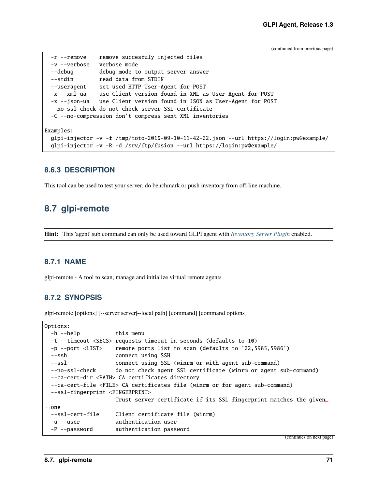```
-r --remove remove succesfuly injected files
  -v --verbose verbose mode
 --debug debug mode to output server answer
 --stdin read data from STDIN
 --useragent set used HTTP User-Agent for POST
 -x --xml-ua use Client version found in XML as User-Agent for POST
 -x --json-ua use Client version found in JSON as User-Agent for POST
 --no-ssl-check do not check server SSL certificate
 -C --no-compression don't compress sent XML inventories
Examples:
 glpi-injector -v -f /tmp/toto-2010-09-10-11-42-22.json --url https://login:pw@example/
 glpi-injector -v -R -d /srv/ftp/fusion --url https://login:pw@example/
```
# **8.6.3 DESCRIPTION**

This tool can be used to test your server, do benchmark or push inventory from off-line machine.

# **8.7 glpi-remote**

**Hint:** This 'agent' sub command can only be used toward GLPI agent with *[Inventory Server Plugin](#page-48-0)* enabled.

# **8.7.1 NAME**

glpi-remote - A tool to scan, manage and initialize virtual remote agents

# **8.7.2 SYNOPSIS**

glpi-remote [options] [--server server|--local path] [command] [command options]

```
Options:
 -h --help this menu
 -t --timeout <SECS> requests timeout in seconds (defaults to 10)
 -p --port <LIST> remote ports list to scan (defaults to '22,5985,5986')
 --ssh connect using SSH
 --ssl connect using SSL (winrm or with agent sub-command)
 --no-ssl-check do not check agent SSL certificate (winrm or agent sub-command)
 --ca-cert-dir <PATH> CA certificates directory
 --ca-cert-file <FILE> CA certificates file (winrm or for agent sub-command)
 --ssl-fingerprint <FINGERPRINT>
                    Trust server certificate if its SSL fingerprint matches the given␣
\rightarrowone
 --ssl-cert-file Client certificate file (winrm)
 -u --user authentication user
 -P --password authentication password
```
(continues on next page)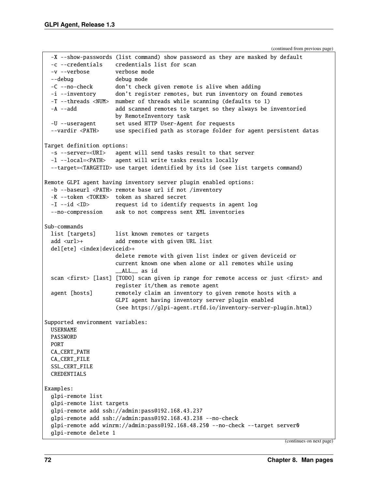```
-X --show-passwords (list command) show password as they are masked by default
  -c --credentials credentials list for scan
 -v --verbose verbose mode
 --debug debug mode
 -C --no-check don't check given remote is alive when adding
 -i --inventory don't register remotes, but run inventory on found remotes
 -T --threads <NUM> number of threads while scanning (defaults to 1)
 -A --add add scanned remotes to target so they always be inventoried
                     by RemoteInventory task
 -U --useragent set used HTTP User-Agent for requests
 --vardir <PATH> use specified path as storage folder for agent persistent datas
Target definition options:
 -s --server=<URI> agent will send tasks result to that server
 -l --local=<PATH> agent will write tasks results locally
 --target=<TARGETID> use target identified by its id (see list targets command)
Remote GLPI agent having inventory server plugin enabled options:
 -b --baseurl <PATH> remote base url if not /inventory
 -K --token <TOKEN> token as shared secret
 -I --id <ID> request id to identify requests in agent log
 --no-compression ask to not compress sent XML inventories
Sub-commands
 list [targets] list known remotes or targets
 add <url>+ add remote with given URL list
 del[ete] <index|deviceid>+
                     delete remote with given list index or given deviceid or
                     current known one when alone or all remotes while using
                     __ALL__ as id
 scan <first> [last] [TODO] scan given ip range for remote access or just <first> and
                     register it/them as remote agent
 agent [hosts] remotely claim an inventory to given remote hosts with a
                     GLPI agent having inventory server plugin enabled
                     (see https://glpi-agent.rtfd.io/inventory-server-plugin.html)
Supported environment variables:
 USERNAME
 PASSWORD
 PORT
 CA_CERT_PATH
 CA_CERT_FILE
 SSL_CERT_FILE
 CREDENTIALS
Examples:
 glpi-remote list
 glpi-remote list targets
 glpi-remote add ssh://admin:pass@192.168.43.237
 glpi-remote add ssh://admin:pass@192.168.43.238 --no-check
 glpi-remote add winrm://admin:pass@192.168.48.250 --no-check --target server0
 glpi-remote delete 1
```

```
(continues on next page)
```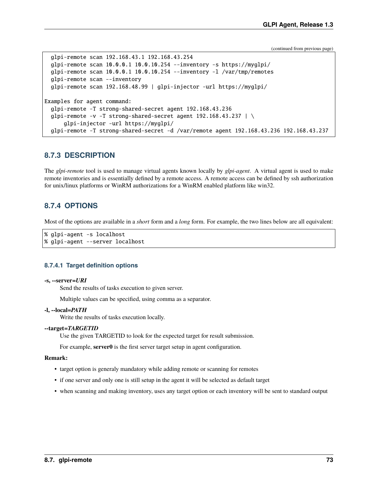```
glpi-remote scan 192.168.43.1 192.168.43.254
  glpi-remote scan 10.0.0.1 10.0.10.254 --inventory -s https://myglpi/
  glpi-remote scan 10.0.0.1 10.0.10.254 --inventory -l /var/tmp/remotes
  glpi-remote scan --inventory
  glpi-remote scan 192.168.48.99 | glpi-injector -url https://myglpi/
Examples for agent command:
  glpi-remote -T strong-shared-secret agent 192.168.43.236
  qlpi-remote -v -T strong-shared-secret agent 192.168.43.237 | \
      glpi-injector -url https://myglpi/
  glpi-remote -T strong-shared-secret -d /var/remote agent 192.168.43.236 192.168.43.237
```
## **8.7.3 DESCRIPTION**

The *glpi-remote* tool is used to manage virtual agents known locally by *glpi-agent*. A virtual agent is used to make remote inventories and is essentially defined by a remote access. A remote access can be defined by ssh authorization for unix/linux platforms or WinRM authorizations for a WinRM enabled platform like win32.

## **8.7.4 OPTIONS**

Most of the options are available in a *short* form and a *long* form. For example, the two lines below are all equivalent:

```
% glpi-agent -s localhost
% glpi-agent --server localhost
```
### **8.7.4.1 Target definition options**

#### **-s, --server=***URI*

Send the results of tasks execution to given server.

Multiple values can be specified, using comma as a separator.

#### **-l, --local=***PATH*

Write the results of tasks execution locally.

#### **--target=***TARGETID*

Use the given TARGETID to look for the expected target for result submission.

For example, **server0** is the first server target setup in agent configuration.

#### **Remark:**

- target option is generaly mandatory while adding remote or scanning for remotes
- if one server and only one is still setup in the agent it will be selected as default target
- when scanning and making inventory, uses any target option or each inventory will be sent to standard output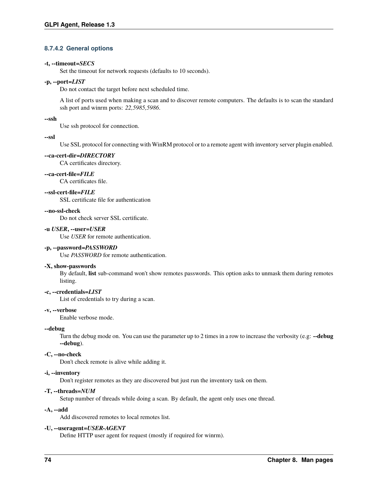## **8.7.4.2 General options**

#### **-t, --timeout=***SECS*

Set the timeout for network requests (defaults to 10 seconds).

#### **-p, --port=***LIST*

Do not contact the target before next scheduled time.

A list of ports used when making a scan and to discover remote computers. The defaults is to scan the standard ssh port and winrm ports: *22,5985,5986*.

#### **--ssh**

Use ssh protocol for connection.

#### **--ssl**

Use SSL protocol for connecting with WinRM protocol or to a remote agent with inventory server plugin enabled.

#### **--ca-cert-dir=***DIRECTORY*

CA certificates directory.

#### **--ca-cert-file=***FILE*

CA certificates file.

### **--ssl-cert-file=***FILE*

SSL certificate file for authentication

### **--no-ssl-check**

Do not check server SSL certificate.

### **-u** *USER***, --user=***USER*

Use *USER* for remote authentication.

### **-p, --password=***PASSWORD*

Use *PASSWORD* for remote authentication.

#### **-X, show-passwords**

By default, **list** sub-command won't show remotes passwords. This option asks to unmask them during remotes listing.

### **-c, --credentials=***LIST*

List of credentials to try during a scan.

#### **-v, --verbose**

Enable verbose mode.

#### **--debug**

Turn the debug mode on. You can use the parameter up to 2 times in a row to increase the verbosity (e.g: **--debug --debug**).

#### **-C, --no-check**

Don't check remote is alive while adding it.

#### **-i, --inventory**

Don't register remotes as they are discovered but just run the inventory task on them.

#### **-T, --threads=***NUM*

Setup number of threads while doing a scan. By default, the agent only uses one thread.

#### **-A, --add**

Add discovered remotes to local remotes list.

#### **-U, --useragent=***USER-AGENT*

Define HTTP user agent for request (mostly if required for winrm).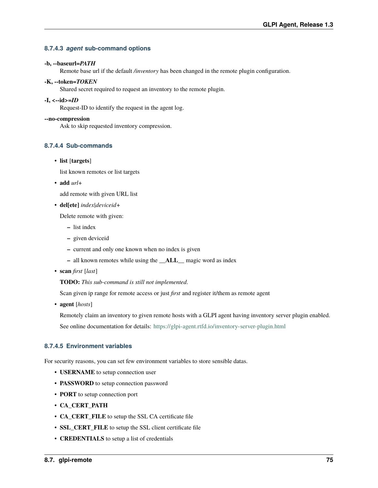## **8.7.4.3** *agent* **sub-command options**

#### **-b, --baseurl=***PATH*

Remote base url if the default */inventory* has been changed in the remote plugin configuration.

### **-K, --token=***TOKEN*

Shared secret required to request an inventory to the remote plugin.

### **-I, <--id>=***ID*

Request-ID to identify the request in the agent log.

### **--no-compression**

Ask to skip requested inventory compression.

## **8.7.4.4 Sub-commands**

### • **list** [**targets**]

list known remotes or list targets

• **add** *url*+

add remote with given URL list

• **del[ete]** *index|deviceid*+

Delete remote with given:

- **–** list index
- **–** given deviceid
- **–** current and only one known when no index is given
- **–** all known remotes while using the **\_\_ALL\_\_** magic word as index
- **scan** *first* [*last*]

**TODO:** *This sub-command is still not implemented*.

Scan given ip range for remote access or just *first* and register it/them as remote agent

• **agent** [*hosts*]

Remotely claim an inventory to given remote hosts with a GLPI agent having inventory server plugin enabled.

See online documentation for details: <https://glpi-agent.rtfd.io/inventory-server-plugin.html>

## **8.7.4.5 Environment variables**

For security reasons, you can set few environment variables to store sensible datas.

- **USERNAME** to setup connection user
- **PASSWORD** to setup connection password
- **PORT** to setup connection port
- **CA\_CERT\_PATH**
- **CA\_CERT\_FILE** to setup the SSL CA certificate file
- **SSL\_CERT\_FILE** to setup the SSL client certificate file
- **CREDENTIALS** to setup a list of credentials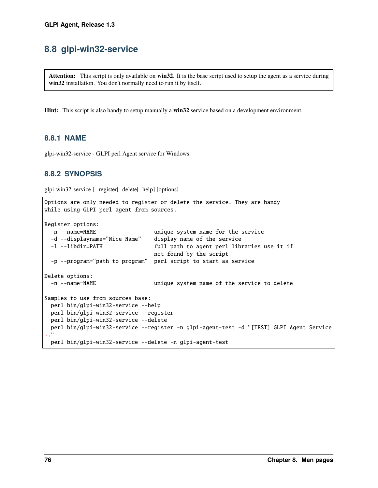# **8.8 glpi-win32-service**

**Attention:** This script is only available on **win32**. It is the base script used to setup the agent as a service during **win32** installation. You don't normally need to run it by itself.

**Hint:** This script is also handy to setup manually a **win32** service based on a development environment.

# **8.8.1 NAME**

glpi-win32-service - GLPI perl Agent service for Windows

# **8.8.2 SYNOPSIS**

glpi-win32-service [--register|--delete|--help] [options]

```
Options are only needed to register or delete the service. They are handy
while using GLPI perl agent from sources.
Register options:
 -n --name=NAME unique system name for the service
  -d --displayname="Nice Name" display name of the service
  -l --libdir=PATH full path to agent perl libraries use it if
                                not found by the script
  -p --program="path to program" perl script to start as service
Delete options:
  -n --name=NAME unique system name of the service to delete
Samples to use from sources base:
 perl bin/glpi-win32-service --help
 perl bin/glpi-win32-service --register
 perl bin/glpi-win32-service --delete
 perl bin/glpi-win32-service --register -n glpi-agent-test -d "[TEST] GLPI Agent Service
\hookrightarrow "
 perl bin/glpi-win32-service --delete -n glpi-agent-test
```